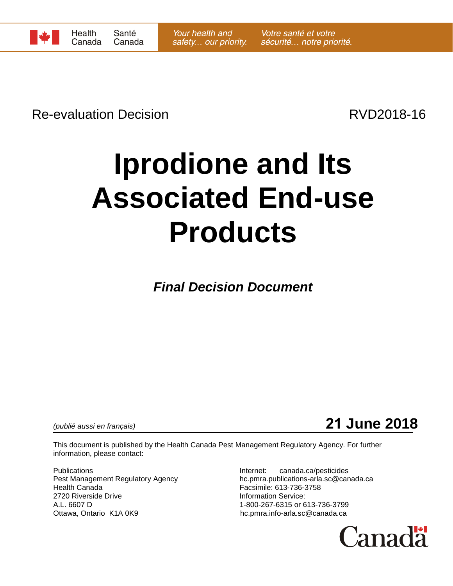

Re-evaluation Decision **Re-evaluation** Decision

# **Iprodione and Its Associated End-use Products**

*Final Decision Document*

*(publié aussi en français)* **21 June 2018**

This document is published by the Health Canada Pest Management Regulatory Agency. For further information, please contact:

Publications **Internet:** canada.ca/pesticides 2720 Riverside Drive **Information Service:** A.L. 6607 D<br>Ottawa, Ontario K1A 0K9 Delta Case of the Community of the person of the Community of the Ottawa, Ontario K1A

Pest Management Regulatory Agency hc.pmra.publications-arla.sc@canada.ca<br>Health Canada<br>Facsimile: 613-736-3758 Facsimile: 613-736-3758 hc.pmra.info-arla.sc@canada.ca

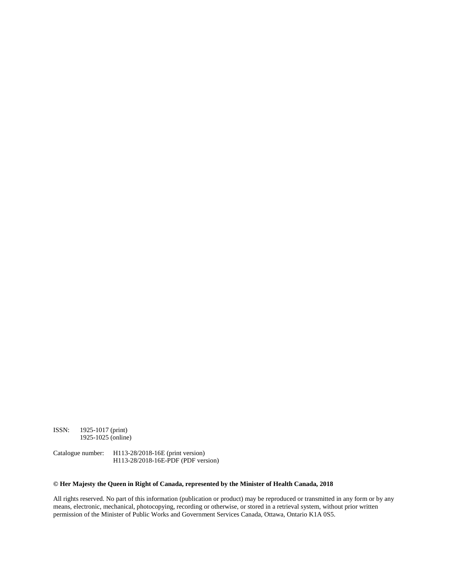ISSN: 1925-1017 (print) 1925-1025 (online)

Catalogue number: H113-28/2018-16E (print version) H113-28/2018-16E-PDF (PDF version)

#### **© Her Majesty the Queen in Right of Canada, represented by the Minister of Health Canada, 2018**

All rights reserved. No part of this information (publication or product) may be reproduced or transmitted in any form or by any means, electronic, mechanical, photocopying, recording or otherwise, or stored in a retrieval system, without prior written permission of the Minister of Public Works and Government Services Canada, Ottawa, Ontario K1A 0S5.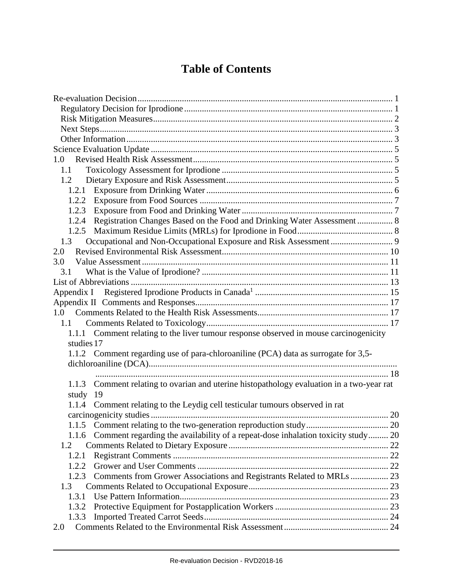# **Table of Contents**

| 1.0                                                                                          |  |
|----------------------------------------------------------------------------------------------|--|
| 1.1                                                                                          |  |
| 1.2                                                                                          |  |
|                                                                                              |  |
|                                                                                              |  |
|                                                                                              |  |
| 1.2.4 Registration Changes Based on the Food and Drinking Water Assessment  8                |  |
|                                                                                              |  |
| 1.3                                                                                          |  |
| 2.0                                                                                          |  |
| 3.0                                                                                          |  |
| 3.1                                                                                          |  |
|                                                                                              |  |
|                                                                                              |  |
|                                                                                              |  |
|                                                                                              |  |
| 1.1                                                                                          |  |
| 1.1.1 Comment relating to the liver tumour response observed in mouse carcinogenicity        |  |
| studies 17                                                                                   |  |
| 1.1.2 Comment regarding use of para-chloroaniline (PCA) data as surrogate for 3,5-           |  |
|                                                                                              |  |
|                                                                                              |  |
| Comment relating to ovarian and uterine histopathology evaluation in a two-year rat<br>1.1.3 |  |
| study 19                                                                                     |  |
| 1.1.4 Comment relating to the Leydig cell testicular tumours observed in rat                 |  |
|                                                                                              |  |
|                                                                                              |  |
| Comment regarding the availability of a repeat-dose inhalation toxicity study 20<br>1.1.6    |  |
| 1.2                                                                                          |  |
| 1.2.1                                                                                        |  |
| 1.2.2                                                                                        |  |
| Comments from Grower Associations and Registrants Related to MRLs  23<br>1.2.3               |  |
| 1.3                                                                                          |  |
| 1.3.1                                                                                        |  |
| 1.3.2                                                                                        |  |
| 1.3.3                                                                                        |  |
| 2.0                                                                                          |  |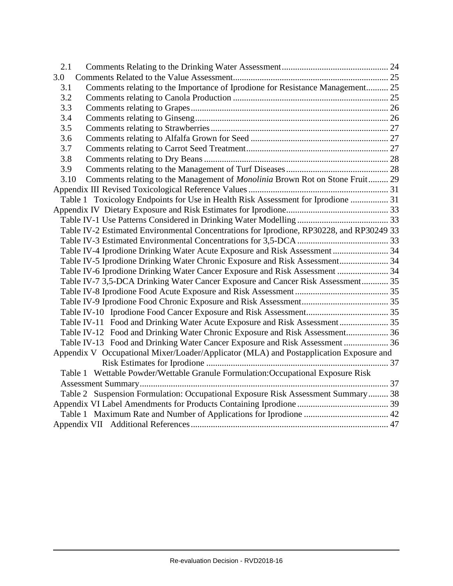| 2.1  |                                                                                          |  |
|------|------------------------------------------------------------------------------------------|--|
| 3.0  |                                                                                          |  |
| 3.1  | Comments relating to the Importance of Iprodione for Resistance Management 25            |  |
| 3.2  |                                                                                          |  |
| 3.3  |                                                                                          |  |
| 3.4  |                                                                                          |  |
| 3.5  |                                                                                          |  |
| 3.6  |                                                                                          |  |
| 3.7  |                                                                                          |  |
| 3.8  |                                                                                          |  |
| 3.9  |                                                                                          |  |
| 3.10 | Comments relating to the Management of Monolinia Brown Rot on Stone Fruit 29             |  |
|      |                                                                                          |  |
|      | Table 1 Toxicology Endpoints for Use in Health Risk Assessment for Iprodione  31         |  |
|      |                                                                                          |  |
|      |                                                                                          |  |
|      | Table IV-2 Estimated Environmental Concentrations for Iprodione, RP30228, and RP30249 33 |  |
|      |                                                                                          |  |
|      | Table IV-4 Iprodione Drinking Water Acute Exposure and Risk Assessment 34                |  |
|      | Table IV-5 Iprodione Drinking Water Chronic Exposure and Risk Assessment 34              |  |
|      | Table IV-6 Iprodione Drinking Water Cancer Exposure and Risk Assessment  34              |  |
|      | Table IV-7 3,5-DCA Drinking Water Cancer Exposure and Cancer Risk Assessment 35          |  |
|      |                                                                                          |  |
|      |                                                                                          |  |
|      |                                                                                          |  |
|      | Table IV-11 Food and Drinking Water Acute Exposure and Risk Assessment 35                |  |
|      | Table IV-12 Food and Drinking Water Chronic Exposure and Risk Assessment 36              |  |
|      | Table IV-13 Food and Drinking Water Cancer Exposure and Risk Assessment  36              |  |
|      | Appendix V Occupational Mixer/Loader/Applicator (MLA) and Postapplication Exposure and   |  |
|      |                                                                                          |  |
|      | Table 1 Wettable Powder/Wettable Granule Formulation: Occupational Exposure Risk         |  |
|      |                                                                                          |  |
|      | Table 2 Suspension Formulation: Occupational Exposure Risk Assessment Summary 38         |  |
|      |                                                                                          |  |
|      |                                                                                          |  |
|      |                                                                                          |  |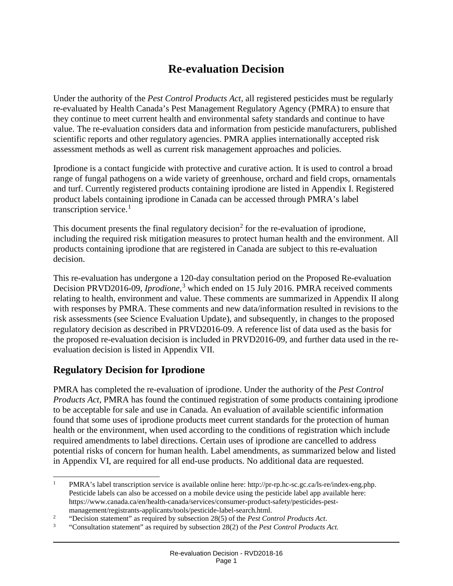# **Re-evaluation Decision**

<span id="page-4-0"></span>Under the authority of the *Pest Control Products Act,* all registered pesticides must be regularly re-evaluated by Health Canada's Pest Management Regulatory Agency (PMRA) to ensure that they continue to meet current health and environmental safety standards and continue to have value. The re-evaluation considers data and information from pesticide manufacturers, published scientific reports and other regulatory agencies. PMRA applies internationally accepted risk assessment methods as well as current risk management approaches and policies.

Iprodione is a contact fungicide with protective and curative action. It is used to control a broad range of fungal pathogens on a wide variety of greenhouse, orchard and field crops, ornamentals and turf. Currently registered products containing iprodione are listed in Appendix I. Registered product labels containing iprodione in Canada can be accessed through PMRA's label transcription service.<sup>[1](#page-4-2)</sup>

This document presents the final regulatory decision<sup>[2](#page-4-3)</sup> for the re-evaluation of iprodione, including the required risk mitigation measures to protect human health and the environment. All products containing iprodione that are registered in Canada are subject to this re-evaluation decision.

This re-evaluation has undergone a 120-day consultation period on the Proposed Re-evaluation Decision PRVD2016-09, *Iprodione,* [3](#page-4-4) which ended on 15 July 2016. PMRA received comments relating to health, environment and value. These comments are summarized in Appendix II along with responses by PMRA. These comments and new data/information resulted in revisions to the risk assessments (see Science Evaluation Update), and subsequently, in changes to the proposed regulatory decision as described in PRVD2016-09. A reference list of data used as the basis for the proposed re-evaluation decision is included in PRVD2016-09, and further data used in the reevaluation decision is listed in Appendix VII.

# <span id="page-4-1"></span>**Regulatory Decision for Iprodione**

PMRA has completed the re-evaluation of iprodione. Under the authority of the *Pest Control Products Act*, PMRA has found the continued registration of some products containing iprodione to be acceptable for sale and use in Canada. An evaluation of available scientific information found that some uses of iprodione products meet current standards for the protection of human health or the environment, when used according to the conditions of registration which include required amendments to label directions. Certain uses of iprodione are cancelled to address potential risks of concern for human health. Label amendments, as summarized below and listed in Appendix VI, are required for all end-use products. No additional data are requested.

<span id="page-4-2"></span><sup>&</sup>lt;sup>1</sup> PMRA's label transcription service is available online here: http://pr-rp.hc-sc.gc.ca/ls-re/index-eng.php. Pesticide labels can also be accessed on a mobile device using the pesticide label app available here: https://www.canada.ca/en/health-canada/services/consumer-product-safety/pesticides-pestmanagement/registrants-applicants/tools/pesticide-label-search.html.

<span id="page-4-3"></span><sup>2</sup> "Decision statement" as required by subsection 28(5) of the *Pest Control Products Act*.

<span id="page-4-4"></span><sup>3</sup> "Consultation statement" as required by subsection 28(2) of the *Pest Control Products Act.*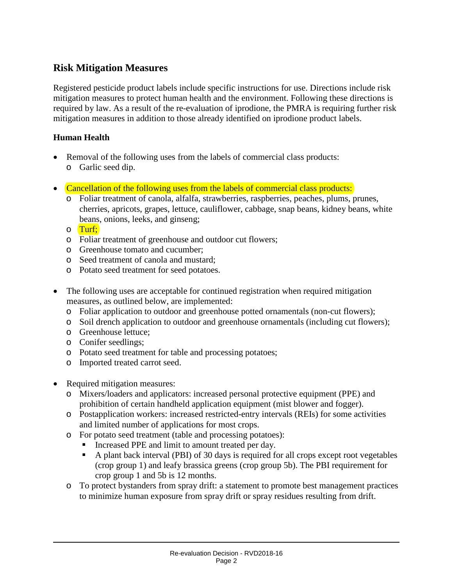# <span id="page-5-0"></span>**Risk Mitigation Measures**

Registered pesticide product labels include specific instructions for use. Directions include risk mitigation measures to protect human health and the environment. Following these directions is required by law. As a result of the re-evaluation of iprodione, the PMRA is requiring further risk mitigation measures in addition to those already identified on iprodione product labels.

#### **Human Health**

- Removal of the following uses from the labels of commercial class products: o Garlic seed dip.
- Cancellation of the following uses from the labels of commercial class products:
	- o Foliar treatment of canola, alfalfa, strawberries, raspberries, peaches, plums, prunes, cherries, apricots, grapes, lettuce, cauliflower, cabbage, snap beans, kidney beans, white beans, onions, leeks, and ginseng;
	- o Turf;
	- o Foliar treatment of greenhouse and outdoor cut flowers;
	- o Greenhouse tomato and cucumber;
	- o Seed treatment of canola and mustard;
	- o Potato seed treatment for seed potatoes.
- The following uses are acceptable for continued registration when required mitigation measures, as outlined below, are implemented:
	- o Foliar application to outdoor and greenhouse potted ornamentals (non-cut flowers);
	- o Soil drench application to outdoor and greenhouse ornamentals (including cut flowers);
	- o Greenhouse lettuce;
	- o Conifer seedlings;
	- o Potato seed treatment for table and processing potatoes;
	- o Imported treated carrot seed.
- Required mitigation measures:
	- o Mixers/loaders and applicators: increased personal protective equipment (PPE) and prohibition of certain handheld application equipment (mist blower and fogger).
	- o Postapplication workers: increased restricted-entry intervals (REIs) for some activities and limited number of applications for most crops.
	- o For potato seed treatment (table and processing potatoes):
		- Increased PPE and limit to amount treated per day.
		- A plant back interval (PBI) of 30 days is required for all crops except root vegetables (crop group 1) and leafy brassica greens (crop group 5b). The PBI requirement for crop group 1 and 5b is 12 months.
	- o To protect bystanders from spray drift: a statement to promote best management practices to minimize human exposure from spray drift or spray residues resulting from drift.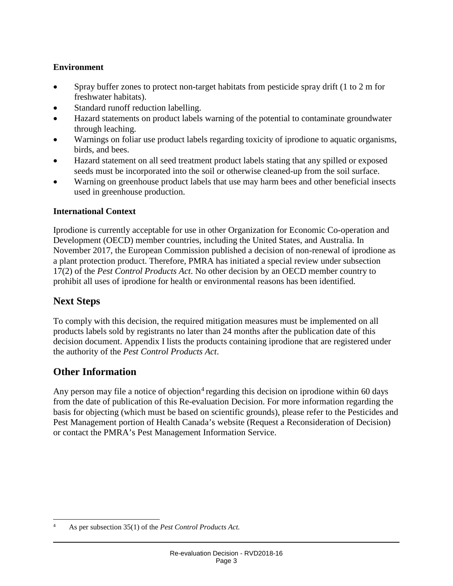#### **Environment**

- Spray buffer zones to protect non-target habitats from pesticide spray drift (1 to 2 m for freshwater habitats).
- Standard runoff reduction labelling.
- Hazard statements on product labels warning of the potential to contaminate groundwater through leaching.
- Warnings on foliar use product labels regarding toxicity of iprodione to aquatic organisms, birds, and bees.
- Hazard statement on all seed treatment product labels stating that any spilled or exposed seeds must be incorporated into the soil or otherwise cleaned-up from the soil surface.
- Warning on greenhouse product labels that use may harm bees and other beneficial insects used in greenhouse production.

#### **International Context**

Iprodione is currently acceptable for use in other Organization for Economic Co-operation and Development (OECD) member countries, including the United States, and Australia. In November 2017, the European Commission published a decision of non-renewal of iprodione as a plant protection product. Therefore, PMRA has initiated a special review under subsection 17(2) of the *Pest Control Products Act*. No other decision by an OECD member country to prohibit all uses of iprodione for health or environmental reasons has been identified.

# <span id="page-6-0"></span>**Next Steps**

To comply with this decision, the required mitigation measures must be implemented on all products labels sold by registrants no later than 24 months after the publication date of this decision document. Appendix I lists the products containing iprodione that are registered under the authority of the *Pest Control Products Act*.

# <span id="page-6-1"></span>**Other Information**

Any person may file a notice of objection<sup>[4](#page-6-2)</sup> regarding this decision on iprodione within 60 days from the date of publication of this Re-evaluation Decision. For more information regarding the basis for objecting (which must be based on scientific grounds), please refer to the Pesticides and Pest Management portion of Health Canada's website (Request a Reconsideration of Decision) or contact the PMRA's Pest Management Information Service.

<span id="page-6-2"></span> <sup>4</sup> As per subsection 35(1) of the *Pest Control Products Act.*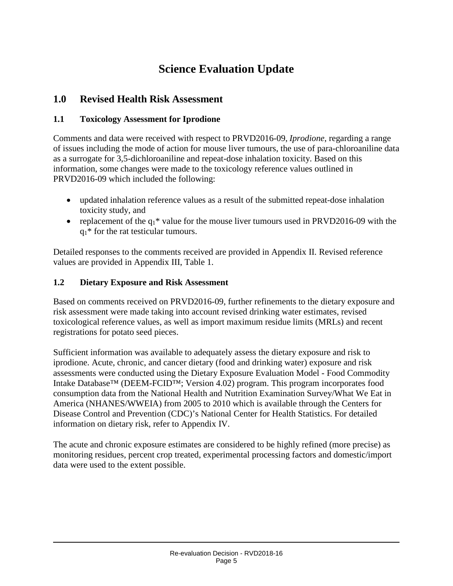# **Science Evaluation Update**

# <span id="page-8-1"></span><span id="page-8-0"></span>**1.0 Revised Health Risk Assessment**

#### <span id="page-8-2"></span>**1.1 Toxicology Assessment for Iprodione**

Comments and data were received with respect to PRVD2016-09, *Iprodione*, regarding a range of issues including the mode of action for mouse liver tumours, the use of para-chloroaniline data as a surrogate for 3,5-dichloroaniline and repeat-dose inhalation toxicity. Based on this information, some changes were made to the toxicology reference values outlined in PRVD2016-09 which included the following:

- updated inhalation reference values as a result of the submitted repeat-dose inhalation toxicity study, and
- replacement of the  $q_1$ <sup>\*</sup> value for the mouse liver tumours used in PRVD2016-09 with the  $q_1$ <sup>\*</sup> for the rat testicular tumours.

Detailed responses to the comments received are provided in Appendix II. Revised reference values are provided in Appendix III, Table 1.

#### <span id="page-8-3"></span>**1.2 Dietary Exposure and Risk Assessment**

Based on comments received on PRVD2016-09, further refinements to the dietary exposure and risk assessment were made taking into account revised drinking water estimates, revised toxicological reference values, as well as import maximum residue limits (MRLs) and recent registrations for potato seed pieces.

Sufficient information was available to adequately assess the dietary exposure and risk to iprodione. Acute, chronic, and cancer dietary (food and drinking water) exposure and risk assessments were conducted using the Dietary Exposure Evaluation Model - Food Commodity Intake Database™ (DEEM-FCID™; Version 4.02) program. This program incorporates food consumption data from the National Health and Nutrition Examination Survey/What We Eat in America (NHANES/WWEIA) from 2005 to 2010 which is available through the Centers for Disease Control and Prevention (CDC)'s National Center for Health Statistics. For detailed information on dietary risk, refer to Appendix IV.

The acute and chronic exposure estimates are considered to be highly refined (more precise) as monitoring residues, percent crop treated, experimental processing factors and domestic/import data were used to the extent possible.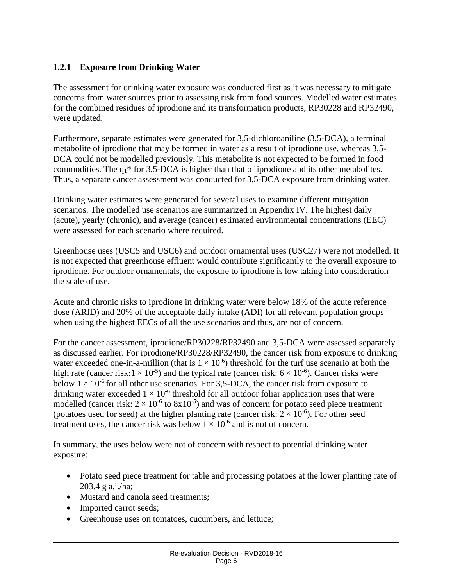#### <span id="page-9-0"></span>**1.2.1 Exposure from Drinking Water**

The assessment for drinking water exposure was conducted first as it was necessary to mitigate concerns from water sources prior to assessing risk from food sources. Modelled water estimates for the combined residues of iprodione and its transformation products, RP30228 and RP32490, were updated.

Furthermore, separate estimates were generated for 3,5-dichloroaniline (3,5-DCA), a terminal metabolite of iprodione that may be formed in water as a result of iprodione use, whereas 3,5- DCA could not be modelled previously. This metabolite is not expected to be formed in food commodities. The  $q_1$ <sup>\*</sup> for 3,5-DCA is higher than that of iprodione and its other metabolites. Thus, a separate cancer assessment was conducted for 3,5-DCA exposure from drinking water.

Drinking water estimates were generated for several uses to examine different mitigation scenarios. The modelled use scenarios are summarized in Appendix IV. The highest daily (acute), yearly (chronic), and average (cancer) estimated environmental concentrations (EEC) were assessed for each scenario where required.

Greenhouse uses (USC5 and USC6) and outdoor ornamental uses (USC27) were not modelled. It is not expected that greenhouse effluent would contribute significantly to the overall exposure to iprodione. For outdoor ornamentals, the exposure to iprodione is low taking into consideration the scale of use.

Acute and chronic risks to iprodione in drinking water were below 18% of the acute reference dose (ARfD) and 20% of the acceptable daily intake (ADI) for all relevant population groups when using the highest EECs of all the use scenarios and thus, are not of concern.

For the cancer assessment, iprodione/RP30228/RP32490 and 3,5-DCA were assessed separately as discussed earlier. For iprodione/RP30228/RP32490, the cancer risk from exposure to drinking water exceeded one-in-a-million (that is  $1 \times 10^{-6}$ ) threshold for the turf use scenario at both the high rate (cancer risk:  $1 \times 10^{-5}$ ) and the typical rate (cancer risk:  $6 \times 10^{-6}$ ). Cancer risks were below  $1 \times 10^{-6}$  for all other use scenarios. For 3,5-DCA, the cancer risk from exposure to drinking water exceeded  $1 \times 10^{-6}$  threshold for all outdoor foliar application uses that were modelled (cancer risk:  $2 \times 10^{-6}$  to  $8x10^{-5}$ ) and was of concern for potato seed piece treatment (potatoes used for seed) at the higher planting rate (cancer risk:  $2 \times 10^{-6}$ ). For other seed treatment uses, the cancer risk was below  $1 \times 10^{-6}$  and is not of concern.

In summary, the uses below were not of concern with respect to potential drinking water exposure:

- Potato seed piece treatment for table and processing potatoes at the lower planting rate of 203.4 g a.i./ha;
- Mustard and canola seed treatments;
- Imported carrot seeds;
- Greenhouse uses on tomatoes, cucumbers, and lettuce;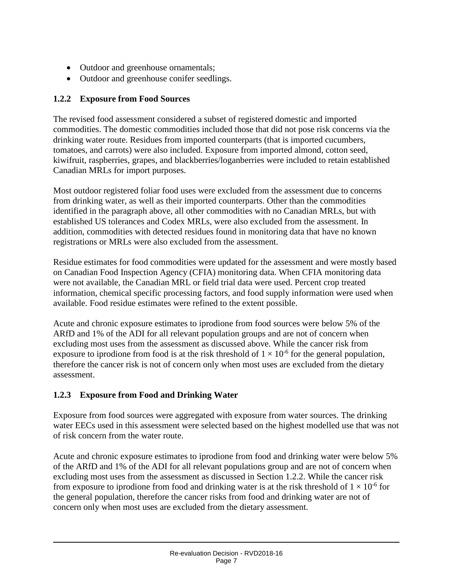- Outdoor and greenhouse ornamentals;
- Outdoor and greenhouse conifer seedlings.

#### <span id="page-10-0"></span>**1.2.2 Exposure from Food Sources**

The revised food assessment considered a subset of registered domestic and imported commodities. The domestic commodities included those that did not pose risk concerns via the drinking water route. Residues from imported counterparts (that is imported cucumbers, tomatoes, and carrots) were also included. Exposure from imported almond, cotton seed, kiwifruit, raspberries, grapes, and blackberries/loganberries were included to retain established Canadian MRLs for import purposes.

Most outdoor registered foliar food uses were excluded from the assessment due to concerns from drinking water, as well as their imported counterparts. Other than the commodities identified in the paragraph above, all other commodities with no Canadian MRLs, but with established US tolerances and Codex MRLs, were also excluded from the assessment. In addition, commodities with detected residues found in monitoring data that have no known registrations or MRLs were also excluded from the assessment.

Residue estimates for food commodities were updated for the assessment and were mostly based on Canadian Food Inspection Agency (CFIA) monitoring data. When CFIA monitoring data were not available, the Canadian MRL or field trial data were used. Percent crop treated information, chemical specific processing factors, and food supply information were used when available. Food residue estimates were refined to the extent possible.

Acute and chronic exposure estimates to iprodione from food sources were below 5% of the ARfD and 1% of the ADI for all relevant population groups and are not of concern when excluding most uses from the assessment as discussed above. While the cancer risk from exposure to iprodione from food is at the risk threshold of  $1 \times 10^{-6}$  for the general population, therefore the cancer risk is not of concern only when most uses are excluded from the dietary assessment.

### <span id="page-10-1"></span>**1.2.3 Exposure from Food and Drinking Water**

Exposure from food sources were aggregated with exposure from water sources. The drinking water EECs used in this assessment were selected based on the highest modelled use that was not of risk concern from the water route.

Acute and chronic exposure estimates to iprodione from food and drinking water were below 5% of the ARfD and 1% of the ADI for all relevant populations group and are not of concern when excluding most uses from the assessment as discussed in Section 1.2.2. While the cancer risk from exposure to iprodione from food and drinking water is at the risk threshold of  $1 \times 10^{-6}$  for the general population, therefore the cancer risks from food and drinking water are not of concern only when most uses are excluded from the dietary assessment.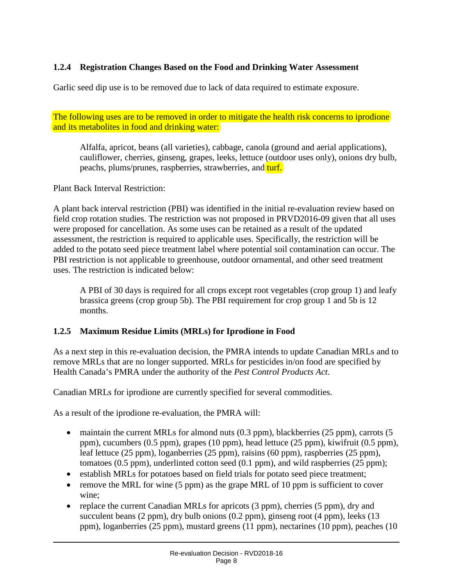### <span id="page-11-0"></span>**1.2.4 Registration Changes Based on the Food and Drinking Water Assessment**

Garlic seed dip use is to be removed due to lack of data required to estimate exposure.

The following uses are to be removed in order to mitigate the health risk concerns to iprodione and its metabolites in food and drinking water:

Alfalfa, apricot, beans (all varieties), cabbage, canola (ground and aerial applications), cauliflower, cherries, ginseng, grapes, leeks, lettuce (outdoor uses only), onions dry bulb, peachs, plums/prunes, raspberries, strawberries, and turf.

Plant Back Interval Restriction:

A plant back interval restriction (PBI) was identified in the initial re-evaluation review based on field crop rotation studies. The restriction was not proposed in PRVD2016-09 given that all uses were proposed for cancellation. As some uses can be retained as a result of the updated assessment, the restriction is required to applicable uses. Specifically, the restriction will be added to the potato seed piece treatment label where potential soil contamination can occur. The PBI restriction is not applicable to greenhouse, outdoor ornamental, and other seed treatment uses. The restriction is indicated below:

A PBI of 30 days is required for all crops except root vegetables (crop group 1) and leafy brassica greens (crop group 5b). The PBI requirement for crop group 1 and 5b is 12 months.

#### <span id="page-11-1"></span>**1.2.5 Maximum Residue Limits (MRLs) for Iprodione in Food**

As a next step in this re-evaluation decision, the PMRA intends to update Canadian MRLs and to remove MRLs that are no longer supported. MRLs for pesticides in/on food are specified by Health Canada's PMRA under the authority of the *Pest Control Products Act*.

Canadian MRLs for iprodione are currently specified for several commodities.

As a result of the iprodione re-evaluation, the PMRA will:

- maintain the current MRLs for almond nuts  $(0.3$  ppm), blackberries  $(25$  ppm), carrots  $(5$ ppm), cucumbers (0.5 ppm), grapes (10 ppm), head lettuce (25 ppm), kiwifruit (0.5 ppm), leaf lettuce (25 ppm), loganberries (25 ppm), raisins (60 ppm), raspberries (25 ppm), tomatoes (0.5 ppm), underlinted cotton seed (0.1 ppm), and wild raspberries (25 ppm);
- establish MRLs for potatoes based on field trials for potato seed piece treatment;
- remove the MRL for wine (5 ppm) as the grape MRL of 10 ppm is sufficient to cover wine;
- replace the current Canadian MRLs for apricots (3 ppm), cherries (5 ppm), dry and succulent beans (2 ppm), dry bulb onions (0.2 ppm), ginseng root (4 ppm), leeks (13 ppm), loganberries (25 ppm), mustard greens (11 ppm), nectarines (10 ppm), peaches (10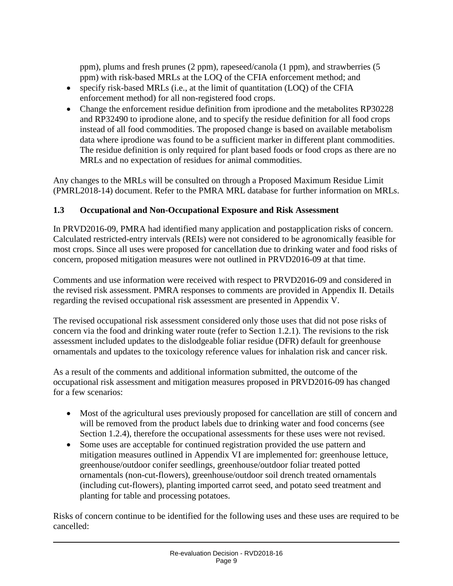ppm), plums and fresh prunes (2 ppm), rapeseed/canola (1 ppm), and strawberries (5 ppm) with risk-based MRLs at the LOQ of the CFIA enforcement method; and

- specify risk-based MRLs (i.e., at the limit of quantitation (LOQ) of the CFIA enforcement method) for all non-registered food crops.
- Change the enforcement residue definition from iprodione and the metabolites RP30228 and RP32490 to iprodione alone, and to specify the residue definition for all food crops instead of all food commodities. The proposed change is based on available metabolism data where iprodione was found to be a sufficient marker in different plant commodities. The residue definition is only required for plant based foods or food crops as there are no MRLs and no expectation of residues for animal commodities.

Any changes to the MRLs will be consulted on through a Proposed Maximum Residue Limit (PMRL2018-14) document. Refer to the PMRA MRL database for further information on MRLs.

### <span id="page-12-0"></span>**1.3 Occupational and Non-Occupational Exposure and Risk Assessment**

In PRVD2016-09, PMRA had identified many application and postapplication risks of concern. Calculated restricted-entry intervals (REIs) were not considered to be agronomically feasible for most crops. Since all uses were proposed for cancellation due to drinking water and food risks of concern, proposed mitigation measures were not outlined in PRVD2016-09 at that time.

Comments and use information were received with respect to PRVD2016-09 and considered in the revised risk assessment. PMRA responses to comments are provided in Appendix II. Details regarding the revised occupational risk assessment are presented in Appendix V.

The revised occupational risk assessment considered only those uses that did not pose risks of concern via the food and drinking water route (refer to Section 1.2.1). The revisions to the risk assessment included updates to the dislodgeable foliar residue (DFR) default for greenhouse ornamentals and updates to the toxicology reference values for inhalation risk and cancer risk.

As a result of the comments and additional information submitted, the outcome of the occupational risk assessment and mitigation measures proposed in PRVD2016-09 has changed for a few scenarios:

- Most of the agricultural uses previously proposed for cancellation are still of concern and will be removed from the product labels due to drinking water and food concerns (see Section 1.2.4), therefore the occupational assessments for these uses were not revised.
- Some uses are acceptable for continued registration provided the use pattern and mitigation measures outlined in Appendix VI are implemented for: greenhouse lettuce, greenhouse/outdoor conifer seedlings, greenhouse/outdoor foliar treated potted ornamentals (non-cut-flowers), greenhouse/outdoor soil drench treated ornamentals (including cut-flowers), planting imported carrot seed, and potato seed treatment and planting for table and processing potatoes.

Risks of concern continue to be identified for the following uses and these uses are required to be cancelled: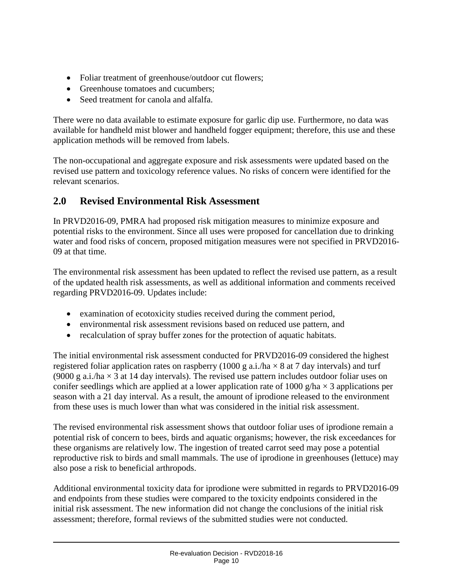- Foliar treatment of greenhouse/outdoor cut flowers;
- Greenhouse tomatoes and cucumbers;
- Seed treatment for canola and alfalfa.

There were no data available to estimate exposure for garlic dip use. Furthermore, no data was available for handheld mist blower and handheld fogger equipment; therefore, this use and these application methods will be removed from labels.

The non-occupational and aggregate exposure and risk assessments were updated based on the revised use pattern and toxicology reference values. No risks of concern were identified for the relevant scenarios.

# <span id="page-13-0"></span>**2.0 Revised Environmental Risk Assessment**

In PRVD2016-09, PMRA had proposed risk mitigation measures to minimize exposure and potential risks to the environment. Since all uses were proposed for cancellation due to drinking water and food risks of concern, proposed mitigation measures were not specified in PRVD2016- 09 at that time.

The environmental risk assessment has been updated to reflect the revised use pattern, as a result of the updated health risk assessments, as well as additional information and comments received regarding PRVD2016-09. Updates include:

- examination of ecotoxicity studies received during the comment period,
- environmental risk assessment revisions based on reduced use pattern, and
- recalculation of spray buffer zones for the protection of aquatic habitats.

The initial environmental risk assessment conducted for PRVD2016-09 considered the highest registered foliar application rates on raspberry (1000 g a.i./ha  $\times$  8 at 7 day intervals) and turf (9000 g a.i./ha  $\times$  3 at 14 day intervals). The revised use pattern includes outdoor foliar uses on conifer seedlings which are applied at a lower application rate of 1000 g/ha  $\times$  3 applications per season with a 21 day interval. As a result, the amount of iprodione released to the environment from these uses is much lower than what was considered in the initial risk assessment.

The revised environmental risk assessment shows that outdoor foliar uses of iprodione remain a potential risk of concern to bees, birds and aquatic organisms; however, the risk exceedances for these organisms are relatively low. The ingestion of treated carrot seed may pose a potential reproductive risk to birds and small mammals. The use of iprodione in greenhouses (lettuce) may also pose a risk to beneficial arthropods.

Additional environmental toxicity data for iprodione were submitted in regards to PRVD2016-09 and endpoints from these studies were compared to the toxicity endpoints considered in the initial risk assessment. The new information did not change the conclusions of the initial risk assessment; therefore, formal reviews of the submitted studies were not conducted.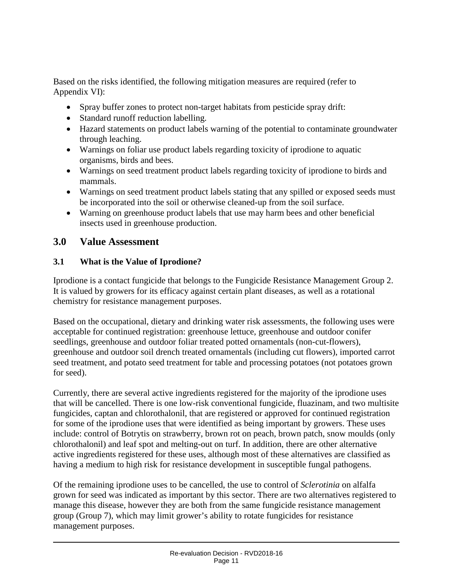Based on the risks identified, the following mitigation measures are required (refer to Appendix VI):

- Spray buffer zones to protect non-target habitats from pesticide spray drift:
- Standard runoff reduction labelling.
- Hazard statements on product labels warning of the potential to contaminate groundwater through leaching.
- Warnings on foliar use product labels regarding toxicity of iprodione to aquatic organisms, birds and bees.
- Warnings on seed treatment product labels regarding toxicity of iprodione to birds and mammals.
- Warnings on seed treatment product labels stating that any spilled or exposed seeds must be incorporated into the soil or otherwise cleaned-up from the soil surface.
- Warning on greenhouse product labels that use may harm bees and other beneficial insects used in greenhouse production.

#### <span id="page-14-0"></span>**3.0 Value Assessment**

#### <span id="page-14-1"></span>**3.1 What is the Value of Iprodione?**

Iprodione is a contact fungicide that belongs to the Fungicide Resistance Management Group 2. It is valued by growers for its efficacy against certain plant diseases, as well as a rotational chemistry for resistance management purposes.

Based on the occupational, dietary and drinking water risk assessments, the following uses were acceptable for continued registration: greenhouse lettuce, greenhouse and outdoor conifer seedlings, greenhouse and outdoor foliar treated potted ornamentals (non-cut-flowers), greenhouse and outdoor soil drench treated ornamentals (including cut flowers), imported carrot seed treatment, and potato seed treatment for table and processing potatoes (not potatoes grown for seed).

Currently, there are several active ingredients registered for the majority of the iprodione uses that will be cancelled. There is one low-risk conventional fungicide, fluazinam, and two multisite fungicides, captan and chlorothalonil, that are registered or approved for continued registration for some of the iprodione uses that were identified as being important by growers. These uses include: control of Botrytis on strawberry, brown rot on peach, brown patch, snow moulds (only chlorothalonil) and leaf spot and melting-out on turf. In addition, there are other alternative active ingredients registered for these uses, although most of these alternatives are classified as having a medium to high risk for resistance development in susceptible fungal pathogens.

Of the remaining iprodione uses to be cancelled, the use to control of *Sclerotinia* on alfalfa grown for seed was indicated as important by this sector. There are two alternatives registered to manage this disease, however they are both from the same fungicide resistance management group (Group 7), which may limit grower's ability to rotate fungicides for resistance management purposes.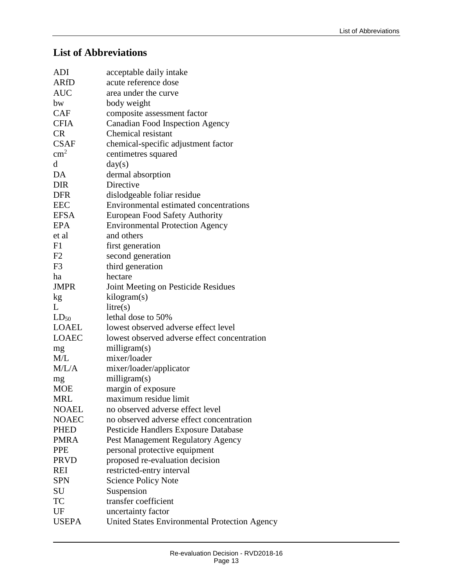# <span id="page-16-0"></span>**List of Abbreviations**

| ADI          | acceptable daily intake                       |
|--------------|-----------------------------------------------|
| <b>ARfD</b>  | acute reference dose                          |
| <b>AUC</b>   | area under the curve                          |
| bw           | body weight                                   |
| <b>CAF</b>   | composite assessment factor                   |
| <b>CFIA</b>  | <b>Canadian Food Inspection Agency</b>        |
| <b>CR</b>    | Chemical resistant                            |
| <b>CSAF</b>  | chemical-specific adjustment factor           |
| $\rm cm^2$   | centimetres squared                           |
| d            | day(s)                                        |
| DA           | dermal absorption                             |
| <b>DIR</b>   | Directive                                     |
| <b>DFR</b>   | dislodgeable foliar residue                   |
| <b>EEC</b>   | Environmental estimated concentrations        |
| <b>EFSA</b>  | <b>European Food Safety Authority</b>         |
| <b>EPA</b>   | <b>Environmental Protection Agency</b>        |
| et al        | and others                                    |
| F1           | first generation                              |
| F2           | second generation                             |
| F3           | third generation                              |
| ha           | hectare                                       |
| <b>JMPR</b>  | Joint Meeting on Pesticide Residues           |
| kg           | kilogram(s)                                   |
| L            | litre(s)                                      |
| $LD_{50}$    | lethal dose to 50%                            |
| LOAEL        | lowest observed adverse effect level          |
| <b>LOAEC</b> | lowest observed adverse effect concentration  |
| mg           | milligram(s)                                  |
| M/L          | mixer/loader                                  |
| M/L/A        | mixer/loader/applicator                       |
| mg           | milligram(s)                                  |
| <b>MOE</b>   | margin of exposure                            |
| <b>MRL</b>   | maximum residue limit                         |
| <b>NOAEL</b> | no observed adverse effect level              |
| <b>NOAEC</b> | no observed adverse effect concentration      |
| <b>PHED</b>  | Pesticide Handlers Exposure Database          |
| <b>PMRA</b>  | Pest Management Regulatory Agency             |
| <b>PPE</b>   | personal protective equipment                 |
| <b>PRVD</b>  | proposed re-evaluation decision               |
| REI          | restricted-entry interval                     |
| <b>SPN</b>   | <b>Science Policy Note</b>                    |
| SU           | Suspension                                    |
| TC           | transfer coefficient                          |
| UF           | uncertainty factor                            |
| <b>USEPA</b> | United States Environmental Protection Agency |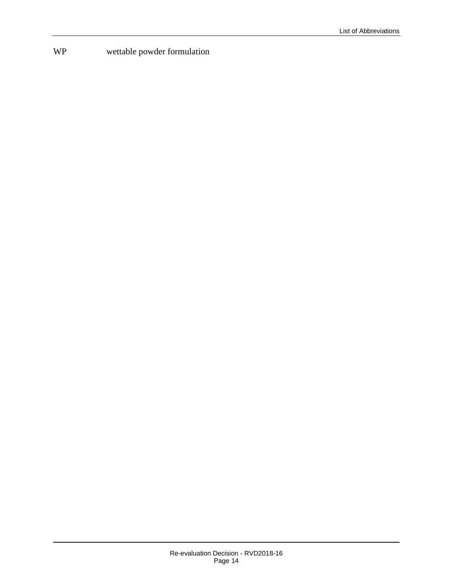# WP wettable powder formulation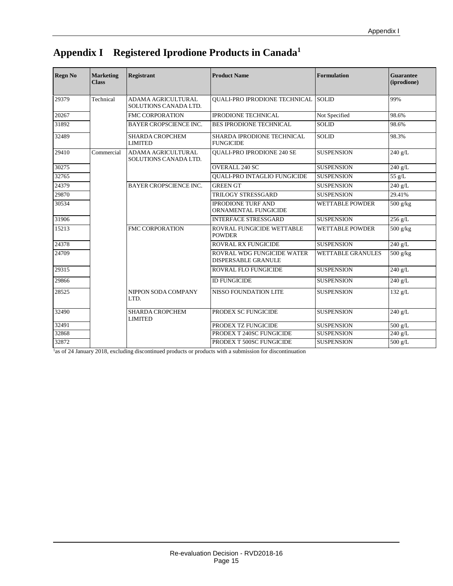| <b>Regn No</b> | <b>Marketing</b><br><b>Class</b> | <b>Registrant</b>                           | <b>Product Name</b>                               | <b>Formulation</b>       | <b>Guarantee</b><br>(iprodione) |
|----------------|----------------------------------|---------------------------------------------|---------------------------------------------------|--------------------------|---------------------------------|
| 29379          | Technical                        | ADAMA AGRICULTURAL<br>SOLUTIONS CANADA LTD. | <b>QUALI-PRO IPRODIONE TECHNICAL</b>              | <b>SOLID</b>             | 99%                             |
| 20267          |                                  | <b>FMC CORPORATION</b>                      | <b>IPRODIONE TECHNICAL</b>                        | Not Specified            | 98.6%                           |
| 31892          |                                  | <b>BAYER CROPSCIENCE INC.</b>               | <b>BES IPRODIONE TECHNICAL</b>                    | <b>SOLID</b>             | 98.6%                           |
| 32489          |                                  | <b>SHARDA CROPCHEM</b><br><b>LIMITED</b>    | SHARDA IPRODIONE TECHNICAL<br><b>FUNGICIDE</b>    | <b>SOLID</b>             | 98.3%                           |
| 29410          | Commercial                       | ADAMA AGRICULTURAL<br>SOLUTIONS CANADA LTD. | QUALI-PRO IPRODIONE 240 SE                        | <b>SUSPENSION</b>        | 240 g/L                         |
| 30275          |                                  |                                             | <b>OVERALL 240 SC</b>                             | <b>SUSPENSION</b>        | 240 g/L                         |
| 32765          |                                  |                                             | <b>OUALI-PRO INTAGLIO FUNGICIDE</b>               | <b>SUSPENSION</b>        | 55 g/L                          |
| 24379          |                                  | <b>BAYER CROPSCIENCE INC.</b>               | <b>GREEN GT</b>                                   | <b>SUSPENSION</b>        | 240 g/L                         |
| 29870          |                                  |                                             | TRILOGY STRESSGARD                                | <b>SUSPENSION</b>        | 29.41%                          |
| 30534          |                                  |                                             | <b>IPRODIONE TURF AND</b><br>ORNAMENTAL FUNGICIDE | <b>WETTABLE POWDER</b>   | 500 g/kg                        |
| 31906          |                                  |                                             | <b>INTERFACE STRESSGARD</b>                       | <b>SUSPENSION</b>        | $256$ g/L                       |
| 15213          |                                  | <b>FMC CORPORATION</b>                      | ROVRAL FUNGICIDE WETTABLE<br><b>POWDER</b>        | <b>WETTABLE POWDER</b>   | 500 g/kg                        |
| 24378          |                                  |                                             | <b>ROVRAL RX FUNGICIDE</b>                        | <b>SUSPENSION</b>        | $240$ g/L                       |
| 24709          |                                  |                                             | ROVRAL WDG FUNGICIDE WATER<br>DISPERSABLE GRANULE | <b>WETTABLE GRANULES</b> | 500 g/kg                        |
| 29315          |                                  |                                             | <b>ROVRAL FLO FUNGICIDE</b>                       | <b>SUSPENSION</b>        | $240$ g/L                       |
| 29866          |                                  |                                             | <b>ID FUNGICIDE</b>                               | <b>SUSPENSION</b>        | 240 g/L                         |
| 28525          |                                  | NIPPON SODA COMPANY<br>LTD.                 | <b>NISSO FOUNDATION LITE</b>                      | <b>SUSPENSION</b>        | 132 g/L                         |
| 32490          |                                  | <b>SHARDA CROPCHEM</b><br><b>LIMITED</b>    | PRODEX SC FUNGICIDE                               | <b>SUSPENSION</b>        | 240 g/L                         |
| 32491          |                                  |                                             | PRODEX TZ FUNGICIDE                               | <b>SUSPENSION</b>        | $500$ g/L                       |
| 32868          |                                  |                                             | PRODEX T 240SC FUNGICIDE                          | <b>SUSPENSION</b>        | 240 g/L                         |
| 32872          |                                  |                                             | PRODEX T 500SC FUNGICIDE                          | <b>SUSPENSION</b>        | $500$ g/L                       |

# <span id="page-18-0"></span>**Appendix I Registered Iprodione Products in Canada1**

<sup>1</sup>as of 24 January 2018, excluding discontinued products or products with a submission for discontinuation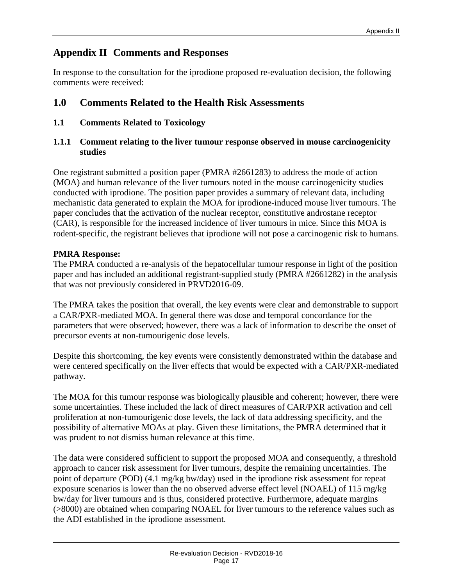# <span id="page-20-0"></span>**Appendix II Comments and Responses**

In response to the consultation for the iprodione proposed re-evaluation decision, the following comments were received:

# <span id="page-20-1"></span>**1.0 Comments Related to the Health Risk Assessments**

<span id="page-20-2"></span>**1.1 Comments Related to Toxicology**

#### <span id="page-20-3"></span>**1.1.1 Comment relating to the liver tumour response observed in mouse carcinogenicity studies**

One registrant submitted a position paper (PMRA #2661283) to address the mode of action (MOA) and human relevance of the liver tumours noted in the mouse carcinogenicity studies conducted with iprodione. The position paper provides a summary of relevant data, including mechanistic data generated to explain the MOA for iprodione-induced mouse liver tumours. The paper concludes that the activation of the nuclear receptor, constitutive androstane receptor (CAR), is responsible for the increased incidence of liver tumours in mice. Since this MOA is rodent-specific, the registrant believes that iprodione will not pose a carcinogenic risk to humans.

#### **PMRA Response:**

The PMRA conducted a re-analysis of the hepatocellular tumour response in light of the position paper and has included an additional registrant-supplied study (PMRA #2661282) in the analysis that was not previously considered in PRVD2016-09.

The PMRA takes the position that overall, the key events were clear and demonstrable to support a CAR/PXR-mediated MOA. In general there was dose and temporal concordance for the parameters that were observed; however, there was a lack of information to describe the onset of precursor events at non-tumourigenic dose levels.

Despite this shortcoming, the key events were consistently demonstrated within the database and were centered specifically on the liver effects that would be expected with a CAR/PXR-mediated pathway.

The MOA for this tumour response was biologically plausible and coherent; however, there were some uncertainties. These included the lack of direct measures of CAR/PXR activation and cell proliferation at non-tumourigenic dose levels, the lack of data addressing specificity, and the possibility of alternative MOAs at play. Given these limitations, the PMRA determined that it was prudent to not dismiss human relevance at this time.

The data were considered sufficient to support the proposed MOA and consequently, a threshold approach to cancer risk assessment for liver tumours, despite the remaining uncertainties. The point of departure (POD) (4.1 mg/kg bw/day) used in the iprodione risk assessment for repeat exposure scenarios is lower than the no observed adverse effect level (NOAEL) of 115 mg/kg bw/day for liver tumours and is thus, considered protective. Furthermore, adequate margins (>8000) are obtained when comparing NOAEL for liver tumours to the reference values such as the ADI established in the iprodione assessment.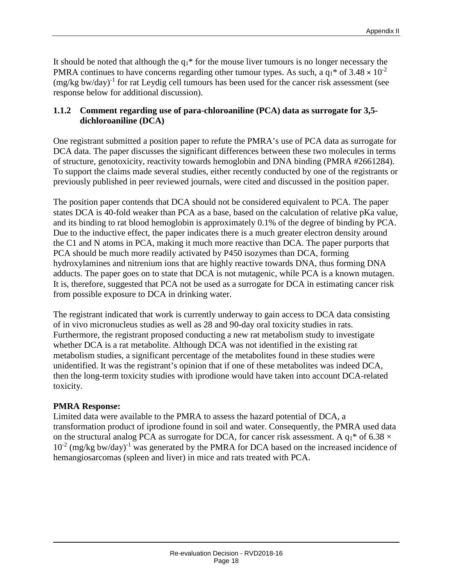It should be noted that although the  $q_1$ <sup>\*</sup> for the mouse liver tumours is no longer necessary the PMRA continues to have concerns regarding other tumour types. As such, a  $q_1$ <sup>\*</sup> of 3.48  $\times$  10<sup>-2</sup>  $(mg/kg$  bw/day)<sup>-1</sup> for rat Leydig cell tumours has been used for the cancer risk assessment (see response below for additional discussion).

#### <span id="page-21-0"></span>**1.1.2 Comment regarding use of para-chloroaniline (PCA) data as surrogate for 3,5 dichloroaniline (DCA)**

One registrant submitted a position paper to refute the PMRA's use of PCA data as surrogate for DCA data. The paper discusses the significant differences between these two molecules in terms of structure, genotoxicity, reactivity towards hemoglobin and DNA binding (PMRA #2661284). To support the claims made several studies, either recently conducted by one of the registrants or previously published in peer reviewed journals, were cited and discussed in the position paper.

The position paper contends that DCA should not be considered equivalent to PCA. The paper states DCA is 40-fold weaker than PCA as a base, based on the calculation of relative pKa value, and its binding to rat blood hemoglobin is approximately 0.1% of the degree of binding by PCA. Due to the inductive effect, the paper indicates there is a much greater electron density around the C1 and N atoms in PCA, making it much more reactive than DCA. The paper purports that PCA should be much more readily activated by P450 isozymes than DCA, forming hydroxylamines and nitrenium ions that are highly reactive towards DNA, thus forming DNA adducts. The paper goes on to state that DCA is not mutagenic, while PCA is a known mutagen. It is, therefore, suggested that PCA not be used as a surrogate for DCA in estimating cancer risk from possible exposure to DCA in drinking water.

The registrant indicated that work is currently underway to gain access to DCA data consisting of in vivo micronucleus studies as well as 28 and 90-day oral toxicity studies in rats. Furthermore, the registrant proposed conducting a new rat metabolism study to investigate whether DCA is a rat metabolite. Although DCA was not identified in the existing rat metabolism studies, a significant percentage of the metabolites found in these studies were unidentified. It was the registrant's opinion that if one of these metabolites was indeed DCA, then the long-term toxicity studies with iprodione would have taken into account DCA-related toxicity.

#### **PMRA Response:**

Limited data were available to the PMRA to assess the hazard potential of DCA, a transformation product of iprodione found in soil and water. Consequently, the PMRA used data on the structural analog PCA as surrogate for DCA, for cancer risk assessment. A  $q_1$ <sup>\*</sup> of 6.38  $\times$  $10^{-2}$  (mg/kg bw/day)<sup>-1</sup> was generated by the PMRA for DCA based on the increased incidence of hemangiosarcomas (spleen and liver) in mice and rats treated with PCA.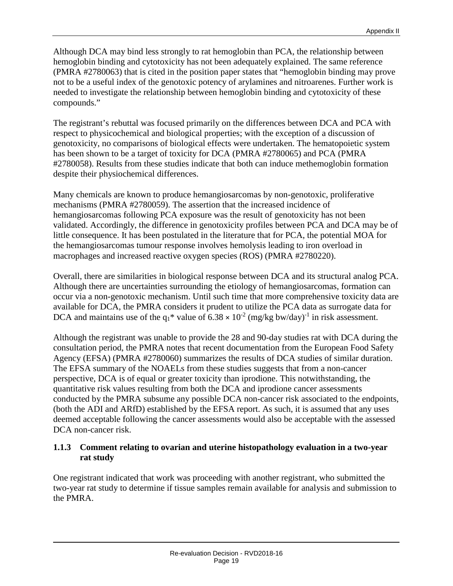Although DCA may bind less strongly to rat hemoglobin than PCA, the relationship between hemoglobin binding and cytotoxicity has not been adequately explained. The same reference (PMRA #2780063) that is cited in the position paper states that "hemoglobin binding may prove not to be a useful index of the genotoxic potency of arylamines and nitroarenes. Further work is needed to investigate the relationship between hemoglobin binding and cytotoxicity of these compounds."

The registrant's rebuttal was focused primarily on the differences between DCA and PCA with respect to physicochemical and biological properties; with the exception of a discussion of genotoxicity, no comparisons of biological effects were undertaken. The hematopoietic system has been shown to be a target of toxicity for DCA (PMRA #2780065) and PCA (PMRA #2780058). Results from these studies indicate that both can induce methemoglobin formation despite their physiochemical differences.

Many chemicals are known to produce hemangiosarcomas by non-genotoxic, proliferative mechanisms (PMRA #2780059). The assertion that the increased incidence of hemangiosarcomas following PCA exposure was the result of genotoxicity has not been validated. Accordingly, the difference in genotoxicity profiles between PCA and DCA may be of little consequence. It has been postulated in the literature that for PCA, the potential MOA for the hemangiosarcomas tumour response involves hemolysis leading to iron overload in macrophages and increased reactive oxygen species (ROS) (PMRA #2780220).

Overall, there are similarities in biological response between DCA and its structural analog PCA. Although there are uncertainties surrounding the etiology of hemangiosarcomas, formation can occur via a non-genotoxic mechanism. Until such time that more comprehensive toxicity data are available for DCA, the PMRA considers it prudent to utilize the PCA data as surrogate data for DCA and maintains use of the  $q_1$ <sup>\*</sup> value of 6.38  $\times$  10<sup>-2</sup> (mg/kg bw/day)<sup>-1</sup> in risk assessment.

Although the registrant was unable to provide the 28 and 90-day studies rat with DCA during the consultation period, the PMRA notes that recent documentation from the European Food Safety Agency (EFSA) (PMRA #2780060) summarizes the results of DCA studies of similar duration. The EFSA summary of the NOAELs from these studies suggests that from a non-cancer perspective, DCA is of equal or greater toxicity than iprodione. This notwithstanding, the quantitative risk values resulting from both the DCA and iprodione cancer assessments conducted by the PMRA subsume any possible DCA non-cancer risk associated to the endpoints, (both the ADI and ARfD) established by the EFSA report. As such, it is assumed that any uses deemed acceptable following the cancer assessments would also be acceptable with the assessed DCA non-cancer risk.

#### <span id="page-22-0"></span>**1.1.3 Comment relating to ovarian and uterine histopathology evaluation in a two-year rat study**

One registrant indicated that work was proceeding with another registrant, who submitted the two-year rat study to determine if tissue samples remain available for analysis and submission to the PMRA.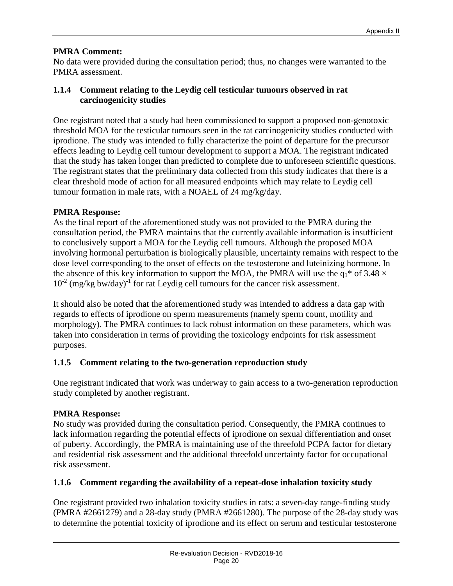#### **PMRA Comment:**

No data were provided during the consultation period; thus, no changes were warranted to the PMRA assessment.

#### <span id="page-23-0"></span>**1.1.4 Comment relating to the Leydig cell testicular tumours observed in rat carcinogenicity studies**

One registrant noted that a study had been commissioned to support a proposed non-genotoxic threshold MOA for the testicular tumours seen in the rat carcinogenicity studies conducted with iprodione. The study was intended to fully characterize the point of departure for the precursor effects leading to Leydig cell tumour development to support a MOA. The registrant indicated that the study has taken longer than predicted to complete due to unforeseen scientific questions. The registrant states that the preliminary data collected from this study indicates that there is a clear threshold mode of action for all measured endpoints which may relate to Leydig cell tumour formation in male rats, with a NOAEL of 24 mg/kg/day.

#### **PMRA Response:**

As the final report of the aforementioned study was not provided to the PMRA during the consultation period, the PMRA maintains that the currently available information is insufficient to conclusively support a MOA for the Leydig cell tumours. Although the proposed MOA involving hormonal perturbation is biologically plausible, uncertainty remains with respect to the dose level corresponding to the onset of effects on the testosterone and luteinizing hormone. In the absence of this key information to support the MOA, the PMRA will use the  $q_1$ <sup>\*</sup> of 3.48  $\times$  $10^{-2}$  (mg/kg bw/day)<sup>-1</sup> for rat Leydig cell tumours for the cancer risk assessment.

It should also be noted that the aforementioned study was intended to address a data gap with regards to effects of iprodione on sperm measurements (namely sperm count, motility and morphology). The PMRA continues to lack robust information on these parameters, which was taken into consideration in terms of providing the toxicology endpoints for risk assessment purposes.

### <span id="page-23-1"></span>**1.1.5 Comment relating to the two-generation reproduction study**

One registrant indicated that work was underway to gain access to a two-generation reproduction study completed by another registrant.

### **PMRA Response:**

No study was provided during the consultation period. Consequently, the PMRA continues to lack information regarding the potential effects of iprodione on sexual differentiation and onset of puberty. Accordingly, the PMRA is maintaining use of the threefold PCPA factor for dietary and residential risk assessment and the additional threefold uncertainty factor for occupational risk assessment.

### <span id="page-23-2"></span>**1.1.6 Comment regarding the availability of a repeat-dose inhalation toxicity study**

One registrant provided two inhalation toxicity studies in rats: a seven-day range-finding study (PMRA #2661279) and a 28-day study (PMRA #2661280). The purpose of the 28-day study was to determine the potential toxicity of iprodione and its effect on serum and testicular testosterone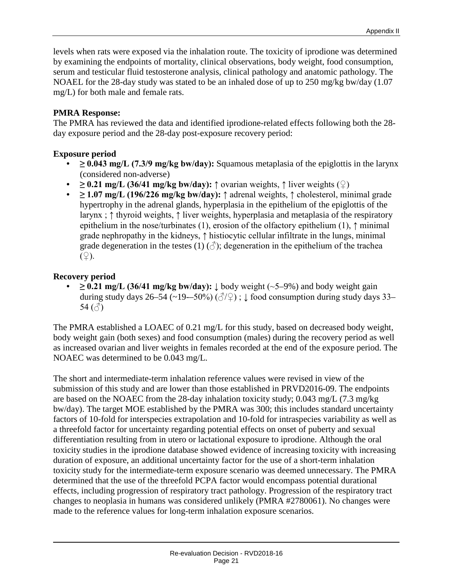levels when rats were exposed via the inhalation route. The toxicity of iprodione was determined by examining the endpoints of mortality, clinical observations, body weight, food consumption, serum and testicular fluid testosterone analysis, clinical pathology and anatomic pathology. The NOAEL for the 28-day study was stated to be an inhaled dose of up to 250 mg/kg bw/day (1.07 mg/L) for both male and female rats.

#### **PMRA Response:**

The PMRA has reviewed the data and identified iprodione-related effects following both the 28 day exposure period and the 28-day post-exposure recovery period:

#### **Exposure period**

- **≥ 0.043 mg/L (7.3/9 mg/kg bw/day):** Squamous metaplasia of the epiglottis in the larynx (considered non-adverse)
- $\geq 0.21$  mg/L (36/41 mg/kg bw/day):  $\uparrow$  ovarian weights,  $\uparrow$  liver weights ( $\circ$ )
- **≥ 1.07 mg/L (196/226 mg/kg bw/day):** ↑ adrenal weights, ↑ cholesterol, minimal grade hypertrophy in the adrenal glands, hyperplasia in the epithelium of the epiglottis of the larynx ; ↑ thyroid weights, ↑ liver weights, hyperplasia and metaplasia of the respiratory epithelium in the nose/turbinates (1), erosion of the olfactory epithelium (1),  $\uparrow$  minimal grade nephropathy in the kidneys, ↑ histiocytic cellular infiltrate in the lungs, minimal grade degeneration in the testes (1)  $(\vec{c})$ ; degeneration in the epithelium of the trachea  $(\varphi)$ .

#### **Recovery period**

• **≥ 0.21 mg/L (36/41 mg/kg bw/day):** ↓ body weight (~5–9%) and body weight gain during study days 26–54 (~19-–50%) ( $\sqrt{2}$ );  $\downarrow$  food consumption during study days 33– 54 $(\textcolor{blue}{\triangle})$ 

The PMRA established a LOAEC of 0.21 mg/L for this study, based on decreased body weight, body weight gain (both sexes) and food consumption (males) during the recovery period as well as increased ovarian and liver weights in females recorded at the end of the exposure period. The NOAEC was determined to be 0.043 mg/L.

The short and intermediate-term inhalation reference values were revised in view of the submission of this study and are lower than those established in PRVD2016-09. The endpoints are based on the NOAEC from the 28-day inhalation toxicity study; 0.043 mg/L (7.3 mg/kg bw/day). The target MOE established by the PMRA was 300; this includes standard uncertainty factors of 10-fold for interspecies extrapolation and 10-fold for intraspecies variability as well as a threefold factor for uncertainty regarding potential effects on onset of puberty and sexual differentiation resulting from in utero or lactational exposure to iprodione. Although the oral toxicity studies in the iprodione database showed evidence of increasing toxicity with increasing duration of exposure, an additional uncertainty factor for the use of a short-term inhalation toxicity study for the intermediate-term exposure scenario was deemed unnecessary. The PMRA determined that the use of the threefold PCPA factor would encompass potential durational effects, including progression of respiratory tract pathology. Progression of the respiratory tract changes to neoplasia in humans was considered unlikely (PMRA #2780061). No changes were made to the reference values for long-term inhalation exposure scenarios.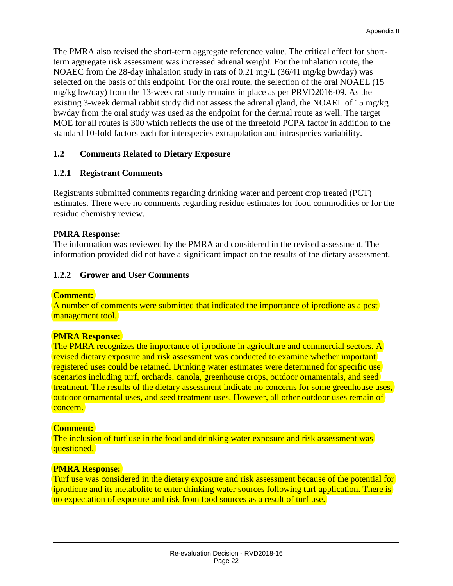The PMRA also revised the short-term aggregate reference value. The critical effect for shortterm aggregate risk assessment was increased adrenal weight. For the inhalation route, the NOAEC from the 28-day inhalation study in rats of 0.21 mg/L (36/41 mg/kg bw/day) was selected on the basis of this endpoint. For the oral route, the selection of the oral NOAEL (15 mg/kg bw/day) from the 13-week rat study remains in place as per PRVD2016-09. As the existing 3-week dermal rabbit study did not assess the adrenal gland, the NOAEL of 15 mg/kg bw/day from the oral study was used as the endpoint for the dermal route as well. The target MOE for all routes is 300 which reflects the use of the threefold PCPA factor in addition to the standard 10-fold factors each for interspecies extrapolation and intraspecies variability.

#### <span id="page-25-0"></span>**1.2 Comments Related to Dietary Exposure**

#### <span id="page-25-1"></span>**1.2.1 Registrant Comments**

Registrants submitted comments regarding drinking water and percent crop treated (PCT) estimates. There were no comments regarding residue estimates for food commodities or for the residue chemistry review.

#### **PMRA Response:**

The information was reviewed by the PMRA and considered in the revised assessment. The information provided did not have a significant impact on the results of the dietary assessment.

#### <span id="page-25-2"></span>**1.2.2 Grower and User Comments**

#### **Comment:**

A number of comments were submitted that indicated the importance of iprodione as a pest management tool.

#### **PMRA Response:**

The PMRA recognizes the importance of iprodione in agriculture and commercial sectors. A revised dietary exposure and risk assessment was conducted to examine whether important registered uses could be retained. Drinking water estimates were determined for specific use scenarios including turf, orchards, canola, greenhouse crops, outdoor ornamentals, and seed treatment. The results of the dietary assessment indicate no concerns for some greenhouse uses, outdoor ornamental uses, and seed treatment uses. However, all other outdoor uses remain of concern.

#### **Comment:**

The inclusion of turf use in the food and drinking water exposure and risk assessment was questioned.

#### **PMRA Response:**

Turf use was considered in the dietary exposure and risk assessment because of the potential for iprodione and its metabolite to enter drinking water sources following turf application. There is no expectation of exposure and risk from food sources as a result of turf use.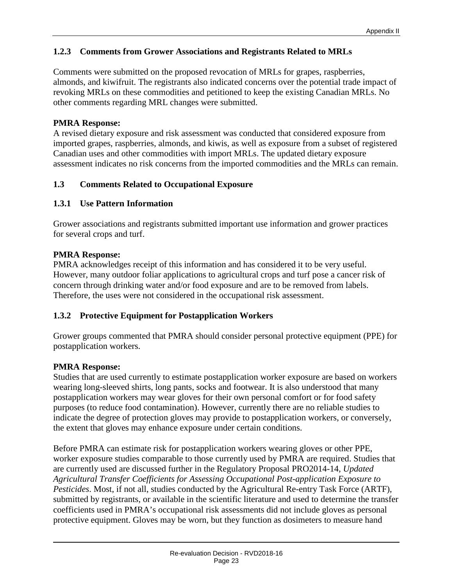#### <span id="page-26-0"></span>**1.2.3 Comments from Grower Associations and Registrants Related to MRLs**

Comments were submitted on the proposed revocation of MRLs for grapes, raspberries, almonds, and kiwifruit. The registrants also indicated concerns over the potential trade impact of revoking MRLs on these commodities and petitioned to keep the existing Canadian MRLs. No other comments regarding MRL changes were submitted.

#### **PMRA Response:**

A revised dietary exposure and risk assessment was conducted that considered exposure from imported grapes, raspberries, almonds, and kiwis, as well as exposure from a subset of registered Canadian uses and other commodities with import MRLs. The updated dietary exposure assessment indicates no risk concerns from the imported commodities and the MRLs can remain.

#### <span id="page-26-1"></span>**1.3 Comments Related to Occupational Exposure**

#### <span id="page-26-2"></span>**1.3.1 Use Pattern Information**

Grower associations and registrants submitted important use information and grower practices for several crops and turf.

#### **PMRA Response:**

PMRA acknowledges receipt of this information and has considered it to be very useful. However, many outdoor foliar applications to agricultural crops and turf pose a cancer risk of concern through drinking water and/or food exposure and are to be removed from labels. Therefore, the uses were not considered in the occupational risk assessment.

#### <span id="page-26-3"></span>**1.3.2 Protective Equipment for Postapplication Workers**

Grower groups commented that PMRA should consider personal protective equipment (PPE) for postapplication workers.

#### **PMRA Response:**

Studies that are used currently to estimate postapplication worker exposure are based on workers wearing long-sleeved shirts, long pants, socks and footwear. It is also understood that many postapplication workers may wear gloves for their own personal comfort or for food safety purposes (to reduce food contamination). However, currently there are no reliable studies to indicate the degree of protection gloves may provide to postapplication workers, or conversely, the extent that gloves may enhance exposure under certain conditions.

Before PMRA can estimate risk for postapplication workers wearing gloves or other PPE, worker exposure studies comparable to those currently used by PMRA are required. Studies that are currently used are discussed further in the Regulatory Proposal PRO2014-14, *Updated Agricultural Transfer Coefficients for Assessing Occupational Post-application Exposure to Pesticides*. Most, if not all, studies conducted by the Agricultural Re-entry Task Force (ARTF), submitted by registrants, or available in the scientific literature and used to determine the transfer coefficients used in PMRA's occupational risk assessments did not include gloves as personal protective equipment. Gloves may be worn, but they function as dosimeters to measure hand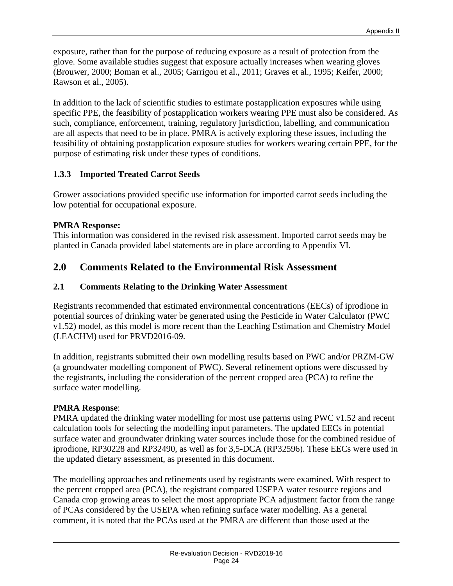exposure, rather than for the purpose of reducing exposure as a result of protection from the glove. Some available studies suggest that exposure actually increases when wearing gloves (Brouwer, 2000; Boman et al., 2005; Garrigou et al., 2011; Graves et al., 1995; Keifer, 2000; Rawson et al., 2005).

In addition to the lack of scientific studies to estimate postapplication exposures while using specific PPE, the feasibility of postapplication workers wearing PPE must also be considered. As such, compliance, enforcement, training, regulatory jurisdiction, labelling, and communication are all aspects that need to be in place. PMRA is actively exploring these issues, including the feasibility of obtaining postapplication exposure studies for workers wearing certain PPE, for the purpose of estimating risk under these types of conditions.

#### <span id="page-27-0"></span>**1.3.3 Imported Treated Carrot Seeds**

Grower associations provided specific use information for imported carrot seeds including the low potential for occupational exposure.

#### **PMRA Response:**

This information was considered in the revised risk assessment. Imported carrot seeds may be planted in Canada provided label statements are in place according to Appendix VI.

# <span id="page-27-1"></span>**2.0 Comments Related to the Environmental Risk Assessment**

### <span id="page-27-2"></span>**2.1 Comments Relating to the Drinking Water Assessment**

Registrants recommended that estimated environmental concentrations (EECs) of iprodione in potential sources of drinking water be generated using the Pesticide in Water Calculator (PWC v1.52) model, as this model is more recent than the Leaching Estimation and Chemistry Model (LEACHM) used for PRVD2016-09.

In addition, registrants submitted their own modelling results based on PWC and/or PRZM-GW (a groundwater modelling component of PWC). Several refinement options were discussed by the registrants, including the consideration of the percent cropped area (PCA) to refine the surface water modelling.

### **PMRA Response**:

PMRA updated the drinking water modelling for most use patterns using PWC v1.52 and recent calculation tools for selecting the modelling input parameters. The updated EECs in potential surface water and groundwater drinking water sources include those for the combined residue of iprodione, RP30228 and RP32490, as well as for 3,5-DCA (RP32596). These EECs were used in the updated dietary assessment, as presented in this document.

The modelling approaches and refinements used by registrants were examined. With respect to the percent cropped area (PCA), the registrant compared USEPA water resource regions and Canada crop growing areas to select the most appropriate PCA adjustment factor from the range of PCAs considered by the USEPA when refining surface water modelling. As a general comment, it is noted that the PCAs used at the PMRA are different than those used at the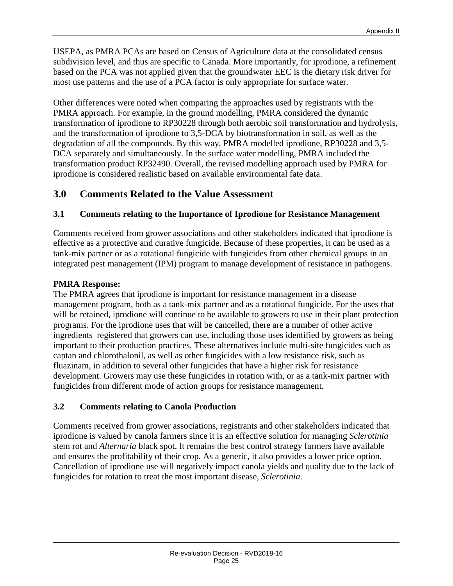USEPA, as PMRA PCAs are based on Census of Agriculture data at the consolidated census subdivision level, and thus are specific to Canada. More importantly, for iprodione, a refinement based on the PCA was not applied given that the groundwater EEC is the dietary risk driver for most use patterns and the use of a PCA factor is only appropriate for surface water.

Other differences were noted when comparing the approaches used by registrants with the PMRA approach. For example, in the ground modelling, PMRA considered the dynamic transformation of iprodione to RP30228 through both aerobic soil transformation and hydrolysis, and the transformation of iprodione to 3,5-DCA by biotransformation in soil, as well as the degradation of all the compounds. By this way, PMRA modelled iprodione, RP30228 and 3,5- DCA separately and simultaneously. In the surface water modelling, PMRA included the transformation product RP32490. Overall, the revised modelling approach used by PMRA for iprodione is considered realistic based on available environmental fate data.

# <span id="page-28-0"></span>**3.0 Comments Related to the Value Assessment**

#### <span id="page-28-1"></span>**3.1 Comments relating to the Importance of Iprodione for Resistance Management**

Comments received from grower associations and other stakeholders indicated that iprodione is effective as a protective and curative fungicide. Because of these properties, it can be used as a tank-mix partner or as a rotational fungicide with fungicides from other chemical groups in an integrated pest management (IPM) program to manage development of resistance in pathogens.

#### **PMRA Response:**

The PMRA agrees that iprodione is important for resistance management in a disease management program, both as a tank-mix partner and as a rotational fungicide. For the uses that will be retained, iprodione will continue to be available to growers to use in their plant protection programs. For the iprodione uses that will be cancelled, there are a number of other active ingredients registered that growers can use, including those uses identified by growers as being important to their production practices. These alternatives include multi-site fungicides such as captan and chlorothalonil, as well as other fungicides with a low resistance risk, such as fluazinam, in addition to several other fungicides that have a higher risk for resistance development. Growers may use these fungicides in rotation with, or as a tank-mix partner with fungicides from different mode of action groups for resistance management.

#### <span id="page-28-2"></span>**3.2 Comments relating to Canola Production**

Comments received from grower associations, registrants and other stakeholders indicated that iprodione is valued by canola farmers since it is an effective solution for managing *Sclerotinia*  stem rot and *Alternaria* black spot. It remains the best control strategy farmers have available and ensures the profitability of their crop. As a generic, it also provides a lower price option. Cancellation of iprodione use will negatively impact canola yields and quality due to the lack of fungicides for rotation to treat the most important disease, *Sclerotinia*.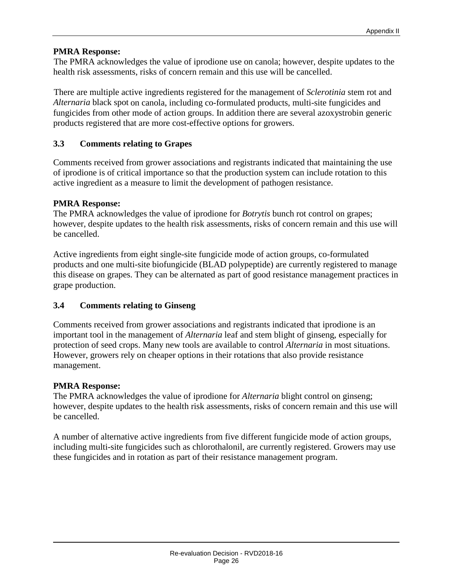#### **PMRA Response:**

The PMRA acknowledges the value of iprodione use on canola; however, despite updates to the health risk assessments, risks of concern remain and this use will be cancelled.

There are multiple active ingredients registered for the management of *Sclerotinia* stem rot and *Alternaria* black spot on canola, including co-formulated products, multi-site fungicides and fungicides from other mode of action groups. In addition there are several azoxystrobin generic products registered that are more cost-effective options for growers.

#### <span id="page-29-0"></span>**3.3 Comments relating to Grapes**

Comments received from grower associations and registrants indicated that maintaining the use of iprodione is of critical importance so that the production system can include rotation to this active ingredient as a measure to limit the development of pathogen resistance.

#### **PMRA Response:**

The PMRA acknowledges the value of iprodione for *Botrytis* bunch rot control on grapes; however, despite updates to the health risk assessments, risks of concern remain and this use will be cancelled.

Active ingredients from eight single-site fungicide mode of action groups, co-formulated products and one multi-site biofungicide (BLAD polypeptide) are currently registered to manage this disease on grapes. They can be alternated as part of good resistance management practices in grape production.

#### <span id="page-29-1"></span>**3.4 Comments relating to Ginseng**

Comments received from grower associations and registrants indicated that iprodione is an important tool in the management of *Alternaria* leaf and stem blight of ginseng, especially for protection of seed crops. Many new tools are available to control *Alternaria* in most situations. However, growers rely on cheaper options in their rotations that also provide resistance management.

#### **PMRA Response:**

The PMRA acknowledges the value of iprodione for *Alternaria* blight control on ginseng; however, despite updates to the health risk assessments, risks of concern remain and this use will be cancelled.

A number of alternative active ingredients from five different fungicide mode of action groups, including multi-site fungicides such as chlorothalonil, are currently registered. Growers may use these fungicides and in rotation as part of their resistance management program.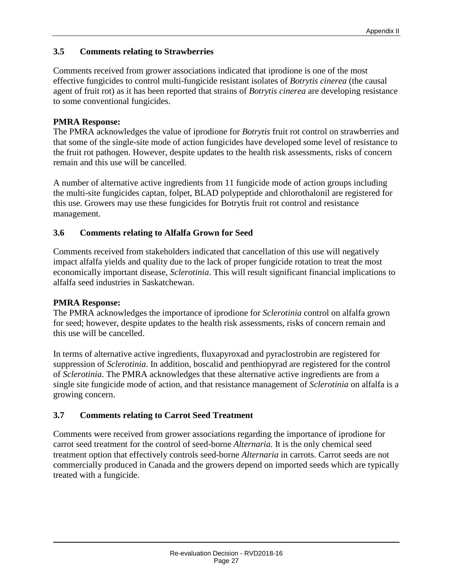#### <span id="page-30-0"></span>**3.5 Comments relating to Strawberries**

Comments received from grower associations indicated that iprodione is one of the most effective fungicides to control multi-fungicide resistant isolates of *Botrytis cinerea* (the causal agent of fruit rot) as it has been reported that strains of *Botrytis cinerea* are developing resistance to some conventional fungicides.

#### **PMRA Response:**

The PMRA acknowledges the value of iprodione for *Botrytis* fruit rot control on strawberries and that some of the single-site mode of action fungicides have developed some level of resistance to the fruit rot pathogen. However, despite updates to the health risk assessments, risks of concern remain and this use will be cancelled.

A number of alternative active ingredients from 11 fungicide mode of action groups including the multi-site fungicides captan, folpet, BLAD polypeptide and chlorothalonil are registered for this use. Growers may use these fungicides for Botrytis fruit rot control and resistance management.

#### <span id="page-30-1"></span>**3.6 Comments relating to Alfalfa Grown for Seed**

Comments received from stakeholders indicated that cancellation of this use will negatively impact alfalfa yields and quality due to the lack of proper fungicide rotation to treat the most economically important disease, *Sclerotinia*. This will result significant financial implications to alfalfa seed industries in Saskatchewan.

#### **PMRA Response:**

The PMRA acknowledges the importance of iprodione for *Sclerotinia* control on alfalfa grown for seed; however, despite updates to the health risk assessments, risks of concern remain and this use will be cancelled.

In terms of alternative active ingredients, fluxapyroxad and pyraclostrobin are registered for suppression of *Sclerotinia*. In addition, boscalid and penthiopyrad are registered for the control of *Sclerotinia*. The PMRA acknowledges that these alternative active ingredients are from a single site fungicide mode of action, and that resistance management of *Sclerotinia* on alfalfa is a growing concern.

#### <span id="page-30-2"></span>**3.7 Comments relating to Carrot Seed Treatment**

Comments were received from grower associations regarding the importance of iprodione for carrot seed treatment for the control of seed-borne *Alternaria.* It is the only chemical seed treatment option that effectively controls seed-borne *Alternaria* in carrots. Carrot seeds are not commercially produced in Canada and the growers depend on imported seeds which are typically treated with a fungicide.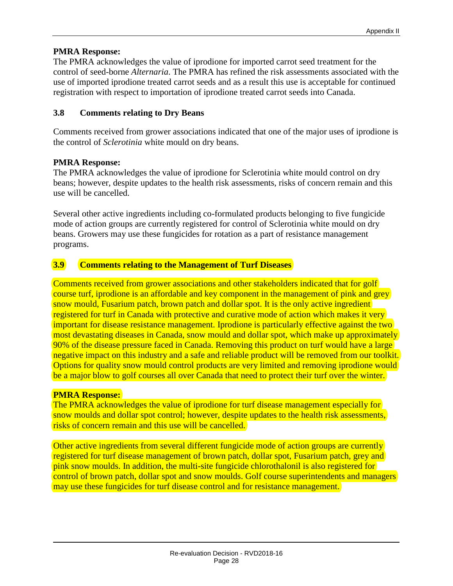#### **PMRA Response:**

The PMRA acknowledges the value of iprodione for imported carrot seed treatment for the control of seed-borne *Alternaria*. The PMRA has refined the risk assessments associated with the use of imported iprodione treated carrot seeds and as a result this use is acceptable for continued registration with respect to importation of iprodione treated carrot seeds into Canada.

#### <span id="page-31-0"></span>**3.8 Comments relating to Dry Beans**

Comments received from grower associations indicated that one of the major uses of iprodione is the control of *Sclerotinia* white mould on dry beans.

#### **PMRA Response:**

The PMRA acknowledges the value of iprodione for Sclerotinia white mould control on dry beans; however, despite updates to the health risk assessments, risks of concern remain and this use will be cancelled.

Several other active ingredients including co-formulated products belonging to five fungicide mode of action groups are currently registered for control of Sclerotinia white mould on dry beans. Growers may use these fungicides for rotation as a part of resistance management programs.

#### <span id="page-31-1"></span>**3.9 Comments relating to the Management of Turf Diseases**

Comments received from grower associations and other stakeholders indicated that for golf course turf, iprodione is an affordable and key component in the management of pink and grey snow mould, Fusarium patch, brown patch and dollar spot. It is the only active ingredient registered for turf in Canada with protective and curative mode of action which makes it very important for disease resistance management. Iprodione is particularly effective against the two most devastating diseases in Canada, snow mould and dollar spot, which make up approximately 90% of the disease pressure faced in Canada. Removing this product on turf would have a large negative impact on this industry and a safe and reliable product will be removed from our toolkit. Options for quality snow mould control products are very limited and removing iprodione would be a major blow to golf courses all over Canada that need to protect their turf over the winter.

#### **PMRA Response:**

The PMRA acknowledges the value of iprodione for turf disease management especially for snow moulds and dollar spot control; however, despite updates to the health risk assessments, risks of concern remain and this use will be cancelled.

Other active ingredients from several different fungicide mode of action groups are currently registered for turf disease management of brown patch, dollar spot, Fusarium patch, grey and pink snow moulds. In addition, the multi-site fungicide chlorothalonil is also registered for control of brown patch, dollar spot and snow moulds. Golf course superintendents and managers may use these fungicides for turf disease control and for resistance management.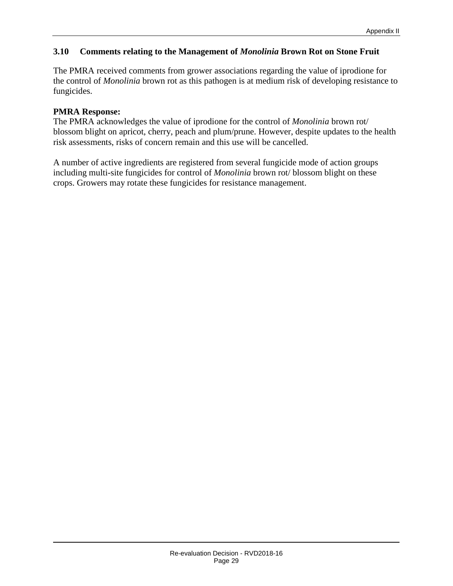#### <span id="page-32-0"></span>**3.10 Comments relating to the Management of** *Monolinia* **Brown Rot on Stone Fruit**

The PMRA received comments from grower associations regarding the value of iprodione for the control of *Monolinia* brown rot as this pathogen is at medium risk of developing resistance to fungicides.

#### **PMRA Response:**

The PMRA acknowledges the value of iprodione for the control of *Monolinia* brown rot/ blossom blight on apricot, cherry, peach and plum/prune. However, despite updates to the health risk assessments, risks of concern remain and this use will be cancelled.

A number of active ingredients are registered from several fungicide mode of action groups including multi-site fungicides for control of *Monolinia* brown rot/ blossom blight on these crops. Growers may rotate these fungicides for resistance management.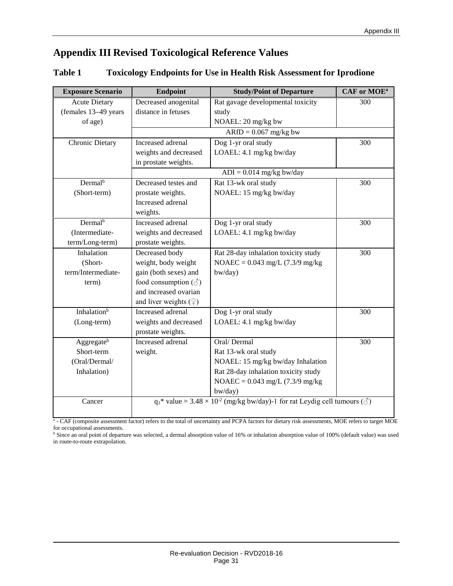# <span id="page-34-0"></span>**Appendix III Revised Toxicological Reference Values**

#### <span id="page-34-1"></span>**Table 1 Toxicology Endpoints for Use in Health Risk Assessment for Iprodione**

| <b>Acute Dietary</b><br>Decreased anogenital<br>Rat gavage developmental toxicity<br>300<br>(females 13-49 years<br>distance in fetuses<br>study<br>NOAEL: 20 mg/kg bw<br>of age)<br>$ARfD = 0.067$ mg/kg bw<br>Dog 1-yr oral study<br>Chronic Dietary<br>Increased adrenal<br>300<br>LOAEL: 4.1 mg/kg bw/day<br>weights and decreased<br>in prostate weights.<br>$ADI = 0.014$ mg/kg bw/day<br>Dermal <sup>b</sup><br>Decreased testes and<br>Rat 13-wk oral study<br>300<br>(Short-term)<br>NOAEL: 15 mg/kg bw/day<br>prostate weights.<br>Increased adrenal<br>weights.<br>Dermal <sup>b</sup><br>Increased adrenal<br>Dog 1-yr oral study<br>300<br>(Intermediate-<br>LOAEL: 4.1 mg/kg bw/day<br>weights and decreased<br>term/Long-term)<br>prostate weights.<br>Inhalation<br>Decreased body<br>Rat 28-day inhalation toxicity study<br>300<br>(Short-<br>weight, body weight<br>NOAEC = $0.043$ mg/L (7.3/9 mg/kg)<br>gain (both sexes) and<br>term/Intermediate-<br>bw/day)<br>food consumption $(\text{I})$<br>term)<br>and increased ovarian<br>and liver weights $(\varphi)$<br>Inhalation <sup>b</sup><br>Increased adrenal<br>Dog 1-yr oral study<br>300<br>weights and decreased<br>LOAEL: 4.1 mg/kg bw/day<br>(Long-term)<br>prostate weights. | <b>Exposure Scenario</b> | Endpoint          | <b>Study/Point of Departure</b> | CAF or MOE <sup>a</sup> |
|---------------------------------------------------------------------------------------------------------------------------------------------------------------------------------------------------------------------------------------------------------------------------------------------------------------------------------------------------------------------------------------------------------------------------------------------------------------------------------------------------------------------------------------------------------------------------------------------------------------------------------------------------------------------------------------------------------------------------------------------------------------------------------------------------------------------------------------------------------------------------------------------------------------------------------------------------------------------------------------------------------------------------------------------------------------------------------------------------------------------------------------------------------------------------------------------------------------------------------------------------------------|--------------------------|-------------------|---------------------------------|-------------------------|
|                                                                                                                                                                                                                                                                                                                                                                                                                                                                                                                                                                                                                                                                                                                                                                                                                                                                                                                                                                                                                                                                                                                                                                                                                                                               |                          |                   |                                 |                         |
|                                                                                                                                                                                                                                                                                                                                                                                                                                                                                                                                                                                                                                                                                                                                                                                                                                                                                                                                                                                                                                                                                                                                                                                                                                                               |                          |                   |                                 |                         |
|                                                                                                                                                                                                                                                                                                                                                                                                                                                                                                                                                                                                                                                                                                                                                                                                                                                                                                                                                                                                                                                                                                                                                                                                                                                               |                          |                   |                                 |                         |
|                                                                                                                                                                                                                                                                                                                                                                                                                                                                                                                                                                                                                                                                                                                                                                                                                                                                                                                                                                                                                                                                                                                                                                                                                                                               |                          |                   |                                 |                         |
|                                                                                                                                                                                                                                                                                                                                                                                                                                                                                                                                                                                                                                                                                                                                                                                                                                                                                                                                                                                                                                                                                                                                                                                                                                                               |                          |                   |                                 |                         |
|                                                                                                                                                                                                                                                                                                                                                                                                                                                                                                                                                                                                                                                                                                                                                                                                                                                                                                                                                                                                                                                                                                                                                                                                                                                               |                          |                   |                                 |                         |
|                                                                                                                                                                                                                                                                                                                                                                                                                                                                                                                                                                                                                                                                                                                                                                                                                                                                                                                                                                                                                                                                                                                                                                                                                                                               |                          |                   |                                 |                         |
|                                                                                                                                                                                                                                                                                                                                                                                                                                                                                                                                                                                                                                                                                                                                                                                                                                                                                                                                                                                                                                                                                                                                                                                                                                                               |                          |                   |                                 |                         |
|                                                                                                                                                                                                                                                                                                                                                                                                                                                                                                                                                                                                                                                                                                                                                                                                                                                                                                                                                                                                                                                                                                                                                                                                                                                               |                          |                   |                                 |                         |
|                                                                                                                                                                                                                                                                                                                                                                                                                                                                                                                                                                                                                                                                                                                                                                                                                                                                                                                                                                                                                                                                                                                                                                                                                                                               |                          |                   |                                 |                         |
|                                                                                                                                                                                                                                                                                                                                                                                                                                                                                                                                                                                                                                                                                                                                                                                                                                                                                                                                                                                                                                                                                                                                                                                                                                                               |                          |                   |                                 |                         |
|                                                                                                                                                                                                                                                                                                                                                                                                                                                                                                                                                                                                                                                                                                                                                                                                                                                                                                                                                                                                                                                                                                                                                                                                                                                               |                          |                   |                                 |                         |
|                                                                                                                                                                                                                                                                                                                                                                                                                                                                                                                                                                                                                                                                                                                                                                                                                                                                                                                                                                                                                                                                                                                                                                                                                                                               |                          |                   |                                 |                         |
|                                                                                                                                                                                                                                                                                                                                                                                                                                                                                                                                                                                                                                                                                                                                                                                                                                                                                                                                                                                                                                                                                                                                                                                                                                                               |                          |                   |                                 |                         |
|                                                                                                                                                                                                                                                                                                                                                                                                                                                                                                                                                                                                                                                                                                                                                                                                                                                                                                                                                                                                                                                                                                                                                                                                                                                               |                          |                   |                                 |                         |
|                                                                                                                                                                                                                                                                                                                                                                                                                                                                                                                                                                                                                                                                                                                                                                                                                                                                                                                                                                                                                                                                                                                                                                                                                                                               |                          |                   |                                 |                         |
|                                                                                                                                                                                                                                                                                                                                                                                                                                                                                                                                                                                                                                                                                                                                                                                                                                                                                                                                                                                                                                                                                                                                                                                                                                                               |                          |                   |                                 |                         |
|                                                                                                                                                                                                                                                                                                                                                                                                                                                                                                                                                                                                                                                                                                                                                                                                                                                                                                                                                                                                                                                                                                                                                                                                                                                               |                          |                   |                                 |                         |
|                                                                                                                                                                                                                                                                                                                                                                                                                                                                                                                                                                                                                                                                                                                                                                                                                                                                                                                                                                                                                                                                                                                                                                                                                                                               |                          |                   |                                 |                         |
|                                                                                                                                                                                                                                                                                                                                                                                                                                                                                                                                                                                                                                                                                                                                                                                                                                                                                                                                                                                                                                                                                                                                                                                                                                                               |                          |                   |                                 |                         |
|                                                                                                                                                                                                                                                                                                                                                                                                                                                                                                                                                                                                                                                                                                                                                                                                                                                                                                                                                                                                                                                                                                                                                                                                                                                               |                          |                   |                                 |                         |
|                                                                                                                                                                                                                                                                                                                                                                                                                                                                                                                                                                                                                                                                                                                                                                                                                                                                                                                                                                                                                                                                                                                                                                                                                                                               |                          |                   |                                 |                         |
|                                                                                                                                                                                                                                                                                                                                                                                                                                                                                                                                                                                                                                                                                                                                                                                                                                                                                                                                                                                                                                                                                                                                                                                                                                                               |                          |                   |                                 |                         |
|                                                                                                                                                                                                                                                                                                                                                                                                                                                                                                                                                                                                                                                                                                                                                                                                                                                                                                                                                                                                                                                                                                                                                                                                                                                               |                          |                   |                                 |                         |
|                                                                                                                                                                                                                                                                                                                                                                                                                                                                                                                                                                                                                                                                                                                                                                                                                                                                                                                                                                                                                                                                                                                                                                                                                                                               | Aggregate <sup>b</sup>   | Increased adrenal | Oral/Dermal                     | 300                     |
| Short-term<br>Rat 13-wk oral study<br>weight.                                                                                                                                                                                                                                                                                                                                                                                                                                                                                                                                                                                                                                                                                                                                                                                                                                                                                                                                                                                                                                                                                                                                                                                                                 |                          |                   |                                 |                         |
| NOAEL: 15 mg/kg bw/day Inhalation<br>(Oral/Dermal/                                                                                                                                                                                                                                                                                                                                                                                                                                                                                                                                                                                                                                                                                                                                                                                                                                                                                                                                                                                                                                                                                                                                                                                                            |                          |                   |                                 |                         |
| Inhalation)<br>Rat 28-day inhalation toxicity study                                                                                                                                                                                                                                                                                                                                                                                                                                                                                                                                                                                                                                                                                                                                                                                                                                                                                                                                                                                                                                                                                                                                                                                                           |                          |                   |                                 |                         |
| NOAEC = $0.043$ mg/L (7.3/9 mg/kg)                                                                                                                                                                                                                                                                                                                                                                                                                                                                                                                                                                                                                                                                                                                                                                                                                                                                                                                                                                                                                                                                                                                                                                                                                            |                          |                   |                                 |                         |
| bw/day)                                                                                                                                                                                                                                                                                                                                                                                                                                                                                                                                                                                                                                                                                                                                                                                                                                                                                                                                                                                                                                                                                                                                                                                                                                                       |                          |                   |                                 |                         |
| $q_1^*$ value = 3.48 × 10 <sup>-2</sup> (mg/kg bw/day)-1 for rat Leydig cell tumours ( $\circ$ )<br>Cancer                                                                                                                                                                                                                                                                                                                                                                                                                                                                                                                                                                                                                                                                                                                                                                                                                                                                                                                                                                                                                                                                                                                                                    |                          |                   |                                 |                         |

<sup>a</sup> - CAF (composite assessment factor) refers to the total of uncertainty and PCPA factors for dietary risk assessments, MOE refers to target MOE for occupational assessments.

<sup>b</sup> Since an oral point of departure was selected, a dermal absorption value of 16% or inhalation absorption value of 100% (default value) was used in route-to-route extrapolation.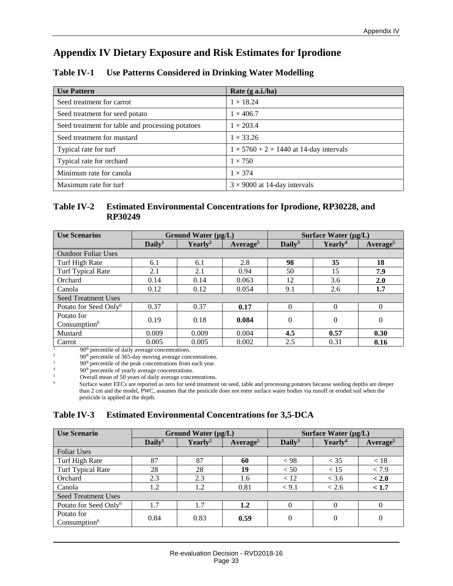# <span id="page-36-0"></span>**Appendix IV Dietary Exposure and Risk Estimates for Iprodione**

#### <span id="page-36-1"></span>**Table IV-1 Use Patterns Considered in Drinking Water Modelling**

| <b>Use Pattern</b>                               | Rate (g a.i./ha)                                    |
|--------------------------------------------------|-----------------------------------------------------|
| Seed treatment for carrot                        | $1 \times 18.24$                                    |
| Seed treatment for seed potato                   | $1 \times 406.7$                                    |
| Seed treatment for table and processing potatoes | $1 \times 203.4$                                    |
| Seed treatment for mustard                       | $1 \times 33.26$                                    |
| Typical rate for turf                            | $1 \times 5760 + 2 \times 1440$ at 14-day intervals |
| Typical rate for orchard                         | $1 \times 750$                                      |
| Minimum rate for canola                          | $1 \times 374$                                      |
| Maximum rate for turf                            | $3 \times 9000$ at 14-day intervals                 |

#### <span id="page-36-2"></span>**Table IV-2 Estimated Environmental Concentrations for Iprodione, RP30228, and RP30249**

| <b>Use Scenarios</b>              | Ground Water $(\mu g/L)$ |                     | Surface Water $(\mu g/L)$ |                    |                     |                      |
|-----------------------------------|--------------------------|---------------------|---------------------------|--------------------|---------------------|----------------------|
|                                   | Daily <sup>1</sup>       | Yearly <sup>2</sup> | Average <sup>5</sup>      | Daily <sup>3</sup> | Yearly <sup>4</sup> | Average <sup>5</sup> |
| <b>Outdoor Foliar Uses</b>        |                          |                     |                           |                    |                     |                      |
| Turf High Rate                    | 6.1                      | 6.1                 | 2.8                       | 98                 | 35                  | 18                   |
| <b>Turf Typical Rate</b>          | 2.1                      | 2.1                 | 0.94                      | 50                 | 15                  | 7.9                  |
| Orchard                           | 0.14                     | 0.14                | 0.063                     | 12                 | 3.6                 | 2.0                  |
| Canola                            | 0.12                     | 0.12                | 0.054                     | 9.1                | 2.6                 | 1.7                  |
| <b>Seed Treatment Uses</b>        |                          |                     |                           |                    |                     |                      |
| Potato for Seed Only <sup>6</sup> | 0.37                     | 0.37                | 0.17                      | $\Omega$           | $\theta$            | $\Omega$             |
| Potato for                        | 0.19                     | 0.18                | 0.084                     | $\theta$           | $\overline{0}$      | $\theta$             |
| Consumption <sup>6</sup>          |                          |                     |                           |                    |                     |                      |
| Mustard                           | 0.009                    | 0.009               | 0.004                     | 4.5                | 0.57                | 0.30                 |
| Carrot                            | 0.005                    | 0.005               | 0.002                     | 2.5                | 0.31                | 0.16                 |

 $\frac{1}{2}$  90<sup>th</sup> percentile of daily average concentrations.

<sup>2</sup> 90<sup>th</sup> percentile of 365-day moving average concentrations.

 $3^3$  90<sup>th</sup> percentile of the peak concentrations from each year.

<sup>4</sup> 90<sup>th</sup> percentile of yearly average concentrations.

5  $\frac{5}{6}$  Overall mean of 50 years of daily average concentrations.

<sup>6</sup> Surface water EECs are reported as zero for seed treatment on seed, table and processing potatoes because seeding depths are deeper than 2 cm and the model, PWC, assumes that the pesticide does not enter surface water bodies via runoff or eroded soil when the pesticide is applied at the depth.

#### <span id="page-36-3"></span>**Table IV-3 Estimated Environmental Concentrations for 3,5-DCA**

| <b>Use Scenario</b>                    | Ground Water $(\mu g/L)$ |            | Surface Water $(\mu g/L)$ |                    |                     |                      |
|----------------------------------------|--------------------------|------------|---------------------------|--------------------|---------------------|----------------------|
|                                        | Daily <sup>1</sup>       | $Yearly^2$ | Average <sup>5</sup>      | Daily <sup>3</sup> | Yearly <sup>4</sup> | Average <sup>5</sup> |
| <b>Foliar Uses</b>                     |                          |            |                           |                    |                     |                      |
| Turf High Rate                         | 87                       | 87         | 60                        | < 98               | $<$ 35              | < 18                 |
| Turf Typical Rate                      | 28                       | 28         | 19                        | < 50               | < 15                | < 7.9                |
| Orchard                                | 2.3                      | 2.3        | 1.6                       | < 12               | < 3.6               | < 2.0                |
| Canola                                 | 1.2                      | 1.2        | 0.81                      | < 9.1              | < 2.6               | < 1.7                |
| <b>Seed Treatment Uses</b>             |                          |            |                           |                    |                     |                      |
| Potato for Seed Only <sup>6</sup>      | 1.7                      | 1.7        | 1.2                       | $\theta$           | $\theta$            | $\theta$             |
| Potato for<br>Consumption <sup>6</sup> | 0.84                     | 0.83       | 0.59                      | $\overline{0}$     | $\overline{0}$      | $\theta$             |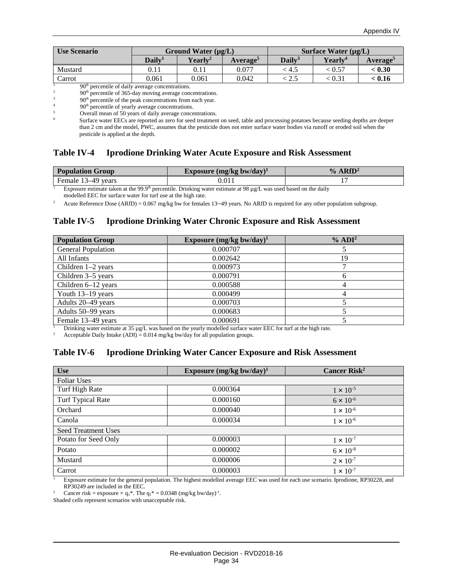| <b>Use Scenario</b> | Ground Water $(\mu g/L)$ |            |                      |               | Surface Water $(\mu g/L)$ |                |
|---------------------|--------------------------|------------|----------------------|---------------|---------------------------|----------------|
|                     | Dailv <sup>1</sup>       | $Yearlv^2$ | Average <sup>5</sup> | $\bf Daily^3$ | Yearly <sup>4</sup>       | <b>Average</b> |
| Mustard             | $0.11\,$                 | 0.11       | 0.077                | : 4.5         | < 0.57                    | < 0.30         |
| Carrot              | 0.061                    | 0.061      | 0.042                | ل دیگر        | < 0.31                    | < 0.16         |

 $\frac{1}{2}$  90<sup>th</sup> percentile of daily average concentrations.

<sup>2</sup> 90<sup>th</sup> percentile of 365-day moving average concentrations.<sup>3</sup>

 $\frac{3}{200}$  90<sup>th</sup> percentile of the peak concentrations from each year.

<sup>4</sup> 90<sup>th</sup> percentile of yearly average concentrations.

Overall mean of 50 years of daily average concentrations.

<sup>6</sup> Surface water EECs are reported as zero for seed treatment on seed, table and processing potatoes because seeding depths are deeper than 2 cm and the model, PWC, assumes that the pesticide does not enter surface water bodies via runoff or eroded soil when the pesticide is applied at the depth.

#### <span id="page-37-0"></span>**Table IV-4 Iprodione Drinking Water Acute Exposure and Risk Assessment**

| <b>Population Group</b> | Exposure (mg/kg bw/day) <sup>1</sup> | $%$ ARfD <sup>2</sup> |
|-------------------------|--------------------------------------|-----------------------|
| Female 13–49 years      |                                      |                       |

<sup>1</sup> Exposure estimate taken at the 99.9<sup>th</sup> percentile. Drinking water estimate at 98 µg/L was used based on the daily

modelled EEC for surface water for turf use at the high rate.

<sup>2</sup> Acute Reference Dose (ARfD) = 0.067 mg/kg bw for females 13–49 years. No ARfD is required for any other population subgroup.

#### <span id="page-37-1"></span>**Table IV-5 Iprodione Drinking Water Chronic Exposure and Risk Assessment**

| <b>Population Group</b>   | Exposure $(mg/kg$ bw/day) <sup>1</sup> | $\%$ ADI <sup>2</sup> |
|---------------------------|----------------------------------------|-----------------------|
| <b>General Population</b> | 0.000707                               |                       |
| All Infants               | 0.002642                               | 19                    |
| Children $1-2$ years      | 0.000973                               |                       |
| Children 3–5 years        | 0.000791                               |                       |
| Children 6-12 years       | 0.000588                               |                       |
| Youth 13-19 years         | 0.000499                               |                       |
| Adults 20–49 years        | 0.000703                               |                       |
| Adults 50–99 years        | 0.000683                               |                       |
| Female 13-49 years        | 0.000691                               |                       |

<sup>1</sup> Drinking water estimate at 35 µg/L was based on the yearly modelled surface water EEC for turf at the high rate.<br><sup>2</sup> Acceptable Daily Intake (ADI) – 0.014 mg/kg by/day for all population groups

Acceptable Daily Intake  $(ADI) = 0.014$  mg/kg bw/day for all population groups.

#### <span id="page-37-2"></span>**Table IV-6 Iprodione Drinking Water Cancer Exposure and Risk Assessment**

| <b>Use</b>                 | Exposure $(mg/kg$ bw/day) <sup>1</sup> | Cancer Risk <sup>2</sup> |  |  |  |
|----------------------------|----------------------------------------|--------------------------|--|--|--|
| <b>Foliar Uses</b>         |                                        |                          |  |  |  |
| Turf High Rate             | 0.000364                               | $1 \times 10^{-5}$       |  |  |  |
| Turf Typical Rate          | 0.000160                               | $6 \times 10^{-6}$       |  |  |  |
| Orchard                    | 0.000040                               | $1 \times 10^{-6}$       |  |  |  |
| Canola                     | 0.000034                               | $1 \times 10^{-6}$       |  |  |  |
| <b>Seed Treatment Uses</b> |                                        |                          |  |  |  |
| Potato for Seed Only       | 0.000003                               | $1 \times 10^{-7}$       |  |  |  |
| Potato                     | 0.000002                               | $6 \times 10^{-8}$       |  |  |  |
| Mustard                    | 0.000006                               | $2 \times 10^{-7}$       |  |  |  |
| Carrot                     | 0.000003                               | $1 \times 10^{-7}$       |  |  |  |

<sup>1</sup> Exposure estimate for the general population. The highest modelled average EEC was used for each use scenario. Iprodione, RP30228, and RP30249 are included in the EEC.

<sup>2</sup> Cancer risk = exposure  $\times$  q<sub>1</sub>\*. The q<sub>1</sub>\* = 0.0348 (mg/kg bw/day)<sup>-1</sup>.

Shaded cells represent scenarios with unacceptable risk.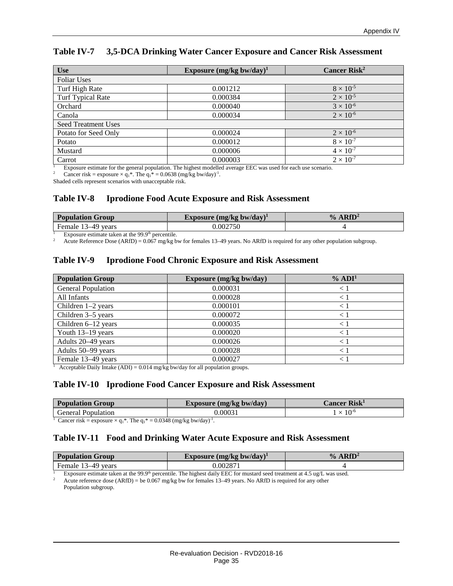| <b>Use</b>                 | Exposure $(mg/kg$ bw/day) <sup>1</sup> | Cancer $Risk2$     |  |  |
|----------------------------|----------------------------------------|--------------------|--|--|
| <b>Foliar Uses</b>         |                                        |                    |  |  |
| Turf High Rate             | 0.001212                               | $8 \times 10^{-5}$ |  |  |
| <b>Turf Typical Rate</b>   | 0.000384                               | $2 \times 10^{-5}$ |  |  |
| Orchard                    | 0.000040                               | $3 \times 10^{-6}$ |  |  |
| Canola                     | 0.000034                               | $2 \times 10^{-6}$ |  |  |
| <b>Seed Treatment Uses</b> |                                        |                    |  |  |
| Potato for Seed Only       | 0.000024                               | $2 \times 10^{-6}$ |  |  |
| Potato                     | 0.000012                               | $8 \times 10^{-7}$ |  |  |
| Mustard                    | 0.000006                               | $4 \times 10^{-7}$ |  |  |
| Carrot                     | 0.000003                               | $2 \times 10^{-7}$ |  |  |

#### <span id="page-38-0"></span>**Table IV-7 3,5-DCA Drinking Water Cancer Exposure and Cancer Risk Assessment**

<sup>1</sup> Exposure estimate for the general population. The highest modelled average EEC was used for each use scenario.<br><sup>2</sup> Capcer risk = exposure  $\times a.*$  The  $a.* = 0.0638$  (mg/kg by/day)<sup>-1</sup>

<sup>2</sup> Cancer risk = exposure  $\times$  q<sub>1</sub>\*. The q<sub>1</sub>\* = 0.0638 (mg/kg bw/day)<sup>-1</sup>.

Shaded cells represent scenarios with unacceptable risk.

#### <span id="page-38-1"></span>**Table IV-8 Iprodione Food Acute Exposure and Risk Assessment**

| <b>Population Group</b> | Exposure $(mg/kg$ bw/day) <sup>1</sup> | ARfD <sup>2</sup><br>$\frac{0}{0}$ |
|-------------------------|----------------------------------------|------------------------------------|
| Female<br>3–49 vears    | 0.002750                               |                                    |

Exposure estimate taken at the 99.9<sup>th</sup> percentile.<br><sup>2</sup> Acute Reference Dose (ARfD) = 0.067 mg/kg bw for females 13–49 years. No ARfD is required for any other population subgroup.

#### <span id="page-38-2"></span>**Table IV-9 Iprodione Food Chronic Exposure and Risk Assessment**

| <b>Population Group</b>   | Exposure (mg/kg bw/day) | $\%$ ADI <sup>1</sup> |
|---------------------------|-------------------------|-----------------------|
| <b>General Population</b> | 0.000031                |                       |
| All Infants               | 0.000028                | $\lt$                 |
| Children $1-2$ years      | 0.000101                | $\lt'$                |
| Children 3–5 years        | 0.000072                |                       |
| Children 6-12 years       | 0.000035                | $\lt$                 |
| Youth 13-19 years         | 0.000020                | $\lt'$                |
| Adults 20–49 years        | 0.000026                |                       |
| Adults 50-99 years        | 0.000028                |                       |
| Female 13-49 years        | 0.000027                |                       |

<sup>1</sup> Acceptable Daily Intake (ADI) =  $0.014$  mg/kg bw/day for all population groups.

#### <span id="page-38-3"></span>**Table IV-10 Iprodione Food Cancer Exposure and Risk Assessment**

| <b>Population Group</b><br>Exposure (mg/kg bw/day) |      | $\mathcal L$ ancer Risk $^1$ |
|----------------------------------------------------|------|------------------------------|
| ieneral<br>Population                              | 0003 | $\cdot 10^{-6}$              |

<sup>1</sup> Cancer risk = exposure  $\times$  q<sub>1</sub>\*. The q<sub>1</sub>\* = 0.0348 (mg/kg bw/day)<sup>-1</sup>.

#### <span id="page-38-4"></span>**Table IV-11 Food and Drinking Water Acute Exposure and Risk Assessment**

| <b>Population Group</b>     | Exposure (mg/kg bw/day) <sup>+</sup> | RfD<br>$\mathbf{v}_0$ |
|-----------------------------|--------------------------------------|-----------------------|
| emale.<br>$\Box$ u<br>vears | 0.00287                              |                       |

<sup>1</sup> Exposure estimate taken at the 99.9<sup>th</sup> percentile. The highest daily EEC for mustard seed treatment at 4.5 ug/L was used. Acute reference dose (ARfD) = be 0.067 mg/kg bw for females 13–49 years. No ARfD is required for any other Population subgroup.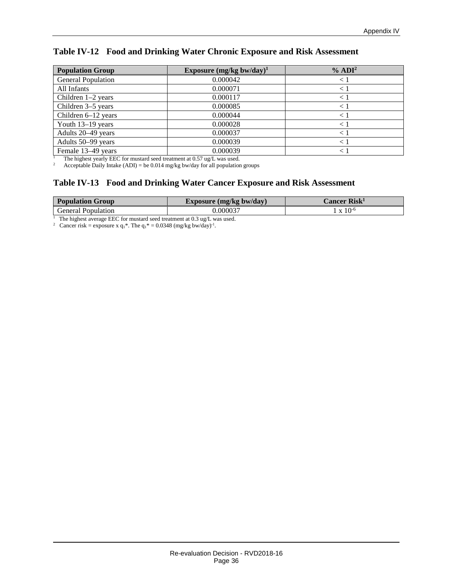#### <span id="page-39-0"></span>**Table IV-12 Food and Drinking Water Chronic Exposure and Risk Assessment**

| <b>Population Group</b>   | Exposure $(mg/kg$ bw/day) <sup>1</sup> | % ADI <sup>2</sup> |
|---------------------------|----------------------------------------|--------------------|
| <b>General Population</b> | 0.000042                               |                    |
| All Infants               | 0.000071                               | $<$ .              |
| Children $1-2$ years      | 0.000117                               | $\leq 1$           |
| Children 3–5 years        | 0.000085                               | $\lt$              |
| Children 6-12 years       | 0.000044                               | $\lt$              |
| Youth 13-19 years         | 0.000028                               | $\lt$              |
| Adults 20-49 years        | 0.000037                               | $\lt'$             |
| Adults 50–99 years        | 0.000039                               | $\lt$ .            |
| Female 13–49 years        | 0.000039                               |                    |

<sup>1</sup> The highest yearly EEC for mustard seed treatment at  $0.57$  ug/L was used.

<sup>2</sup> Acceptable Daily Intake (ADI) = be 0.014 mg/kg bw/day for all population groups

#### <span id="page-39-1"></span>**Table IV-13 Food and Drinking Water Cancer Exposure and Risk Assessment**

| <b>Population Group</b>                                            | Exposure $(mg/kg$ bw/day)          | $\mathcal L$ ancer Risk $^1$ |  |
|--------------------------------------------------------------------|------------------------------------|------------------------------|--|
| General Population                                                 | 0.000037                           | $\rm X~10^{-6}$              |  |
| ---<br>$\blacksquare$ $\blacksquare$ $\blacksquare$ $\blacksquare$ | $\sim$ $\sim$ $\sim$ $\sim$ $\sim$ |                              |  |

<sup>1</sup> The highest average EEC for mustard seed treatment at 0.3 ug/L was used.<br><sup>2</sup> Cancer risk = exposure x  $q_1^*$ . The  $q_1^* = 0.0348$  (mg/kg bw/day)<sup>-1</sup>.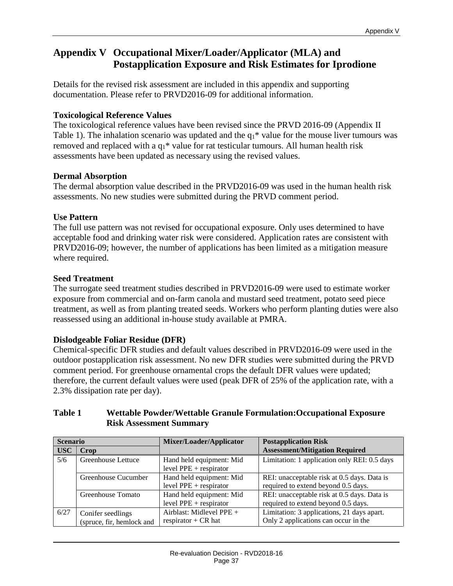# <span id="page-40-0"></span>**Appendix V Occupational Mixer/Loader/Applicator (MLA) and Postapplication Exposure and Risk Estimates for Iprodione**

Details for the revised risk assessment are included in this appendix and supporting documentation. Please refer to PRVD2016-09 for additional information.

#### **Toxicological Reference Values**

The toxicological reference values have been revised since the PRVD 2016-09 (Appendix II Table 1). The inhalation scenario was updated and the  $q_1$ <sup>\*</sup> value for the mouse liver tumours was removed and replaced with a  $q_1$ <sup>\*</sup> value for rat testicular tumours. All human health risk assessments have been updated as necessary using the revised values.

#### **Dermal Absorption**

The dermal absorption value described in the PRVD2016-09 was used in the human health risk assessments. No new studies were submitted during the PRVD comment period.

#### **Use Pattern**

The full use pattern was not revised for occupational exposure. Only uses determined to have acceptable food and drinking water risk were considered. Application rates are consistent with PRVD2016-09; however, the number of applications has been limited as a mitigation measure where required.

#### **Seed Treatment**

The surrogate seed treatment studies described in PRVD2016-09 were used to estimate worker exposure from commercial and on-farm canola and mustard seed treatment, potato seed piece treatment, as well as from planting treated seeds. Workers who perform planting duties were also reassessed using an additional in-house study available at PMRA.

#### **Dislodgeable Foliar Residue (DFR)**

Chemical-specific DFR studies and default values described in PRVD2016-09 were used in the outdoor postapplication risk assessment. No new DFR studies were submitted during the PRVD comment period. For greenhouse ornamental crops the default DFR values were updated; therefore, the current default values were used (peak DFR of 25% of the application rate, with a 2.3% dissipation rate per day).

#### <span id="page-40-1"></span>**Table 1 Wettable Powder/Wettable Granule Formulation:Occupational Exposure Risk Assessment Summary**

| <b>Scenario</b> |                                                | Mixer/Loader/Applicator                              | <b>Postapplication Risk</b>                                                        |
|-----------------|------------------------------------------------|------------------------------------------------------|------------------------------------------------------------------------------------|
| <b>USC</b>      | Crop                                           |                                                      | <b>Assessment/Mitigation Required</b>                                              |
| 5/6             | Greenhouse Lettuce                             | Hand held equipment: Mid<br>level $PPE + respirator$ | Limitation: 1 application only REI: 0.5 days                                       |
|                 | Greenhouse Cucumber                            | Hand held equipment: Mid<br>level $PPE + respirator$ | REI: unacceptable risk at 0.5 days. Data is<br>required to extend beyond 0.5 days. |
|                 | Greenhouse Tomato                              | Hand held equipment: Mid<br>level $PPE + respirator$ | REI: unacceptable risk at 0.5 days. Data is<br>required to extend beyond 0.5 days. |
| 6/27            | Conifer seedlings<br>(spruce, fir, hemlock and | Airblast: Midlevel PPE +<br>respirator $+$ CR hat    | Limitation: 3 applications, 21 days apart.<br>Only 2 applications can occur in the |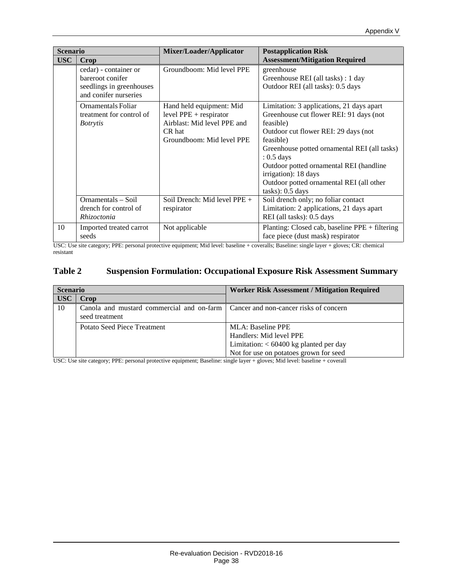| <b>Scenario</b> |                                                                                                | Mixer/Loader/Applicator                                                                                                    | <b>Postapplication Risk</b>                                                                                                                                                                                                                                                                                                                                |
|-----------------|------------------------------------------------------------------------------------------------|----------------------------------------------------------------------------------------------------------------------------|------------------------------------------------------------------------------------------------------------------------------------------------------------------------------------------------------------------------------------------------------------------------------------------------------------------------------------------------------------|
| <b>USC</b>      | Crop                                                                                           |                                                                                                                            | <b>Assessment/Mitigation Required</b>                                                                                                                                                                                                                                                                                                                      |
|                 | cedar) - container or<br>bareroot conifer<br>seedlings in greenhouses<br>and conifer nurseries | Groundboom: Mid level PPE                                                                                                  | greenhouse<br>Greenhouse REI (all tasks) : 1 day<br>Outdoor REI (all tasks): 0.5 days                                                                                                                                                                                                                                                                      |
|                 | Ornamentals Foliar<br>treatment for control of<br><i>Botrytis</i>                              | Hand held equipment: Mid<br>level $PPE + respirator$<br>Airblast: Mid level PPE and<br>CR hat<br>Groundboom: Mid level PPE | Limitation: 3 applications, 21 days apart<br>Greenhouse cut flower REI: 91 days (not<br>feasible)<br>Outdoor cut flower REI: 29 days (not)<br>feasible)<br>Greenhouse potted ornamental REI (all tasks)<br>$: 0.5$ days<br>Outdoor potted ornamental REI (handline<br>irrigation): 18 days<br>Outdoor potted ornamental REI (all other<br>tasks): 0.5 days |
|                 | Ornamentals – Soil<br>drench for control of<br>Rhizoctonia                                     | Soil Drench: Mid level $PPE +$<br>respirator                                                                               | Soil drench only; no foliar contact<br>Limitation: 2 applications, 21 days apart<br>REI (all tasks): 0.5 days                                                                                                                                                                                                                                              |
| 10              | Imported treated carrot<br>seeds                                                               | Not applicable                                                                                                             | Planting: Closed cab, baseline PPE + filtering<br>face piece (dust mask) respirator                                                                                                                                                                                                                                                                        |

USC: Use site category; PPE: personal protective equipment; Mid level: baseline + coveralls; Baseline: single layer + gloves; CR: chemical resistant

#### <span id="page-41-0"></span>**Table 2 Suspension Formulation: Occupational Exposure Risk Assessment Summary**

| <b>Scenario</b> |                                                                                                      | <b>Worker Risk Assessment / Mitigation Required</b>                                                                                                                      |
|-----------------|------------------------------------------------------------------------------------------------------|--------------------------------------------------------------------------------------------------------------------------------------------------------------------------|
| <b>USC</b>      | <b>Crop</b>                                                                                          |                                                                                                                                                                          |
| 10              | Canola and mustard commercial and on-farm   Cancer and non-cancer risks of concern<br>seed treatment |                                                                                                                                                                          |
|                 | Potato Seed Piece Treatment                                                                          | MLA: Baseline PPE                                                                                                                                                        |
|                 |                                                                                                      | Handlers: Mid level PPE                                                                                                                                                  |
|                 |                                                                                                      | Limitation: $< 60400$ kg planted per day                                                                                                                                 |
| TTOO TT         | and the state of the state of<br><b>DDD</b>                                                          | Not for use on potatoes grown for seed<br>$\mathbf{a}$ , and $\mathbf{a}$ , and $\mathbf{a}$ , and $\mathbf{a}$ , and $\mathbf{a}$ , and $\mathbf{a}$ , and $\mathbf{a}$ |

USC: Use site category; PPE: personal protective equipment; Baseline: single layer + gloves; Mid level: baseline + coverall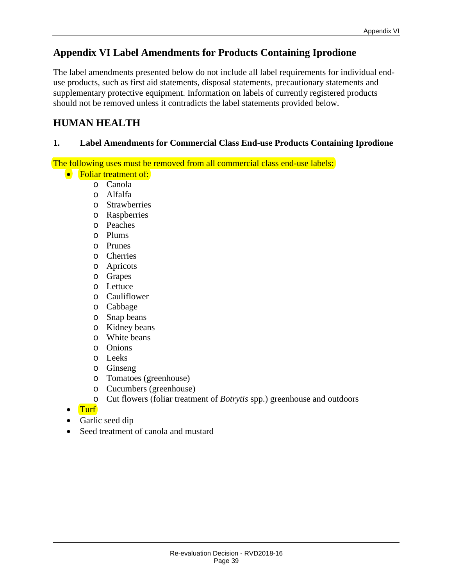# <span id="page-42-0"></span>**Appendix VI Label Amendments for Products Containing Iprodione**

The label amendments presented below do not include all label requirements for individual enduse products, such as first aid statements, disposal statements, precautionary statements and supplementary protective equipment. Information on labels of currently registered products should not be removed unless it contradicts the label statements provided below.

# **HUMAN HEALTH**

#### **1. Label Amendments for Commercial Class End-use Products Containing Iprodione**

The following uses must be removed from all commercial class end-use labels:

- Foliar treatment of:
	- o Canola
	- o Alfalfa
	- o Strawberries
	- o Raspberries
	- o Peaches
	- o Plums
	- o Prunes
	- o Cherries
	- o Apricots
	- o Grapes
	- o Lettuce
	- o Cauliflower
	- o Cabbage
	- o Snap beans
	- o Kidney beans
	- o White beans
	- o Onions
	- o Leeks
	- o Ginseng
	- o Tomatoes (greenhouse)
	- o Cucumbers (greenhouse)
	- o Cut flowers (foliar treatment of *Botrytis* spp.) greenhouse and outdoors
- Turf
- Garlic seed dip
- Seed treatment of canola and mustard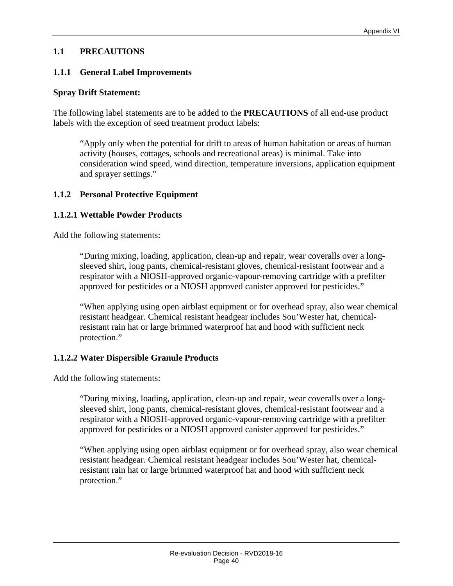#### **1.1 PRECAUTIONS**

#### **1.1.1 General Label Improvements**

#### **Spray Drift Statement:**

The following label statements are to be added to the **PRECAUTIONS** of all end-use product labels with the exception of seed treatment product labels:

"Apply only when the potential for drift to areas of human habitation or areas of human activity (houses, cottages, schools and recreational areas) is minimal. Take into consideration wind speed, wind direction, temperature inversions, application equipment and sprayer settings."

#### **1.1.2 Personal Protective Equipment**

#### **1.1.2.1 Wettable Powder Products**

Add the following statements:

"During mixing, loading, application, clean-up and repair, wear coveralls over a longsleeved shirt, long pants, chemical-resistant gloves, chemical-resistant footwear and a respirator with a NIOSH-approved organic-vapour-removing cartridge with a prefilter approved for pesticides or a NIOSH approved canister approved for pesticides."

"When applying using open airblast equipment or for overhead spray, also wear chemical resistant headgear. Chemical resistant headgear includes Sou'Wester hat, chemicalresistant rain hat or large brimmed waterproof hat and hood with sufficient neck protection."

#### **1.1.2.2 Water Dispersible Granule Products**

Add the following statements:

"During mixing, loading, application, clean-up and repair, wear coveralls over a longsleeved shirt, long pants, chemical-resistant gloves, chemical-resistant footwear and a respirator with a NIOSH-approved organic-vapour-removing cartridge with a prefilter approved for pesticides or a NIOSH approved canister approved for pesticides."

"When applying using open airblast equipment or for overhead spray, also wear chemical resistant headgear. Chemical resistant headgear includes Sou'Wester hat, chemicalresistant rain hat or large brimmed waterproof hat and hood with sufficient neck protection."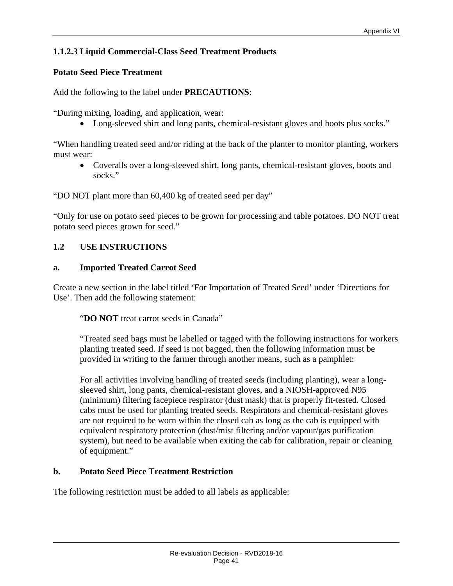#### **1.1.2.3 Liquid Commercial-Class Seed Treatment Products**

#### **Potato Seed Piece Treatment**

Add the following to the label under **PRECAUTIONS**:

"During mixing, loading, and application, wear:

• Long-sleeved shirt and long pants, chemical-resistant gloves and boots plus socks."

"When handling treated seed and/or riding at the back of the planter to monitor planting, workers must wear:

• Coveralls over a long-sleeved shirt, long pants, chemical-resistant gloves, boots and socks."

"DO NOT plant more than 60,400 kg of treated seed per day"

"Only for use on potato seed pieces to be grown for processing and table potatoes. DO NOT treat potato seed pieces grown for seed."

#### **1.2 USE INSTRUCTIONS**

#### **a. Imported Treated Carrot Seed**

Create a new section in the label titled 'For Importation of Treated Seed' under 'Directions for Use'. Then add the following statement:

"**DO NOT** treat carrot seeds in Canada"

"Treated seed bags must be labelled or tagged with the following instructions for workers planting treated seed. If seed is not bagged, then the following information must be provided in writing to the farmer through another means, such as a pamphlet:

For all activities involving handling of treated seeds (including planting), wear a longsleeved shirt, long pants, chemical-resistant gloves, and a NIOSH-approved N95 (minimum) filtering facepiece respirator (dust mask) that is properly fit-tested. Closed cabs must be used for planting treated seeds. Respirators and chemical-resistant gloves are not required to be worn within the closed cab as long as the cab is equipped with equivalent respiratory protection (dust/mist filtering and/or vapour/gas purification system), but need to be available when exiting the cab for calibration, repair or cleaning of equipment."

#### **b. Potato Seed Piece Treatment Restriction**

The following restriction must be added to all labels as applicable: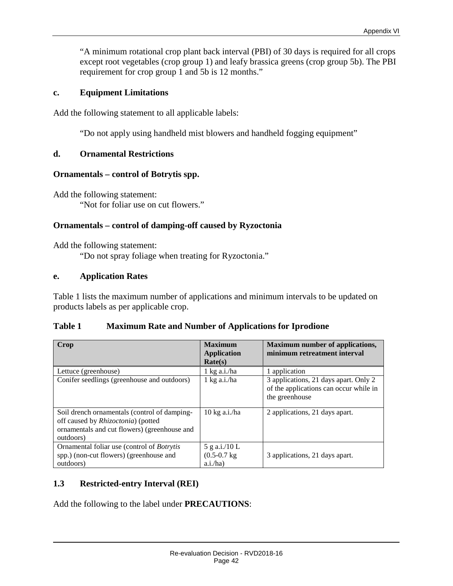"A minimum rotational crop plant back interval (PBI) of 30 days is required for all crops except root vegetables (crop group 1) and leafy brassica greens (crop group 5b). The PBI requirement for crop group 1 and 5b is 12 months."

#### **c. Equipment Limitations**

Add the following statement to all applicable labels:

"Do not apply using handheld mist blowers and handheld fogging equipment"

#### **d. Ornamental Restrictions**

#### **Ornamentals – control of Botrytis spp.**

Add the following statement: "Not for foliar use on cut flowers."

#### **Ornamentals – control of damping-off caused by Ryzoctonia**

Add the following statement:

"Do not spray foliage when treating for Ryzoctonia."

#### **e. Application Rates**

Table 1 lists the maximum number of applications and minimum intervals to be updated on products labels as per applicable crop.

#### <span id="page-45-0"></span>**Table 1 Maximum Rate and Number of Applications for Iprodione**

| Crop                                                                                                                                                    | <b>Maximum</b><br><b>Application</b><br>Rate(s) | <b>Maximum number of applications,</b><br>minimum retreatment interval                            |
|---------------------------------------------------------------------------------------------------------------------------------------------------------|-------------------------------------------------|---------------------------------------------------------------------------------------------------|
| Lettuce (greenhouse)                                                                                                                                    | $1$ kg a.i./ha                                  | 1 application                                                                                     |
| Conifer seedlings (greenhouse and outdoors)                                                                                                             | $1 \text{ kg a.i.}/ha$                          | 3 applications, 21 days apart. Only 2<br>of the applications can occur while in<br>the greenhouse |
| Soil drench ornamentals (control of damping-<br>off caused by <i>Rhizoctonia</i> ) (potted<br>ornamentals and cut flowers) (greenhouse and<br>outdoors) | $10$ kg a.i./ha                                 | 2 applications, 21 days apart.                                                                    |
| Ornamental foliar use (control of <i>Botrytis</i><br>spp.) (non-cut flowers) (greenhouse and<br>outdoors)                                               | 5 g a.i./10 L<br>$(0.5 - 0.7)$ kg<br>a.i./ha    | 3 applications, 21 days apart.                                                                    |

#### **1.3 Restricted-entry Interval (REI)**

Add the following to the label under **PRECAUTIONS**: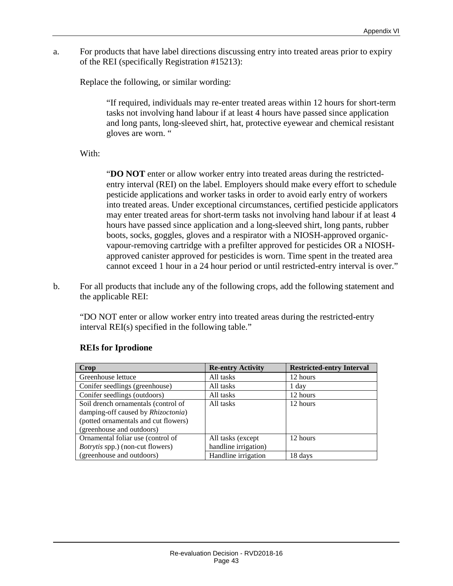a. For products that have label directions discussing entry into treated areas prior to expiry of the REI (specifically Registration #15213):

Replace the following, or similar wording:

"If required, individuals may re-enter treated areas within 12 hours for short-term tasks not involving hand labour if at least 4 hours have passed since application and long pants, long-sleeved shirt, hat, protective eyewear and chemical resistant gloves are worn. "

With:

"**DO NOT** enter or allow worker entry into treated areas during the restrictedentry interval (REI) on the label. Employers should make every effort to schedule pesticide applications and worker tasks in order to avoid early entry of workers into treated areas. Under exceptional circumstances, certified pesticide applicators may enter treated areas for short-term tasks not involving hand labour if at least 4 hours have passed since application and a long-sleeved shirt, long pants, rubber boots, socks, goggles, gloves and a respirator with a NIOSH-approved organicvapour-removing cartridge with a prefilter approved for pesticides OR a NIOSHapproved canister approved for pesticides is worn. Time spent in the treated area cannot exceed 1 hour in a 24 hour period or until restricted-entry interval is over."

b. For all products that include any of the following crops, add the following statement and the applicable REI:

"DO NOT enter or allow worker entry into treated areas during the restricted-entry interval REI(s) specified in the following table."

| Crop                                    | <b>Re-entry Activity</b> | <b>Restricted-entry Interval</b> |
|-----------------------------------------|--------------------------|----------------------------------|
| Greenhouse lettuce                      | All tasks                | 12 hours                         |
| Conifer seedlings (greenhouse)          | All tasks                | 1 day                            |
| Conifer seedlings (outdoors)            | All tasks                | 12 hours                         |
| Soil drench ornamentals (control of     | All tasks                | 12 hours                         |
| damping-off caused by Rhizoctonia)      |                          |                                  |
| (potted ornamentals and cut flowers)    |                          |                                  |
| (greenhouse and outdoors)               |                          |                                  |
| Ornamental foliar use (control of       | All tasks (except)       | 12 hours                         |
| <i>Botrytis</i> spp.) (non-cut flowers) | handline irrigation)     |                                  |
| (greenhouse and outdoors)               | Handline irrigation      | 18 days                          |

#### **REIs for Iprodione**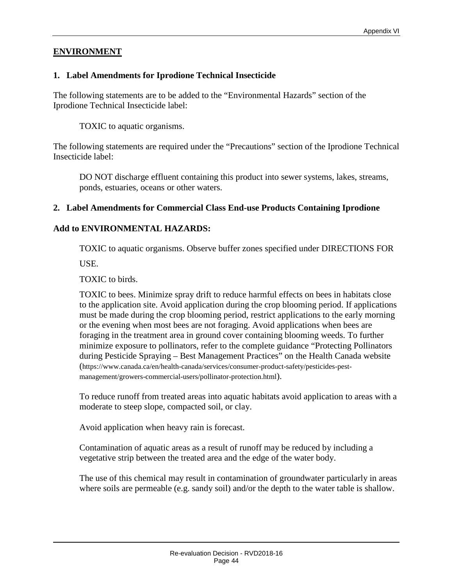#### **ENVIRONMENT**

#### **1. Label Amendments for Iprodione Technical Insecticide**

The following statements are to be added to the "Environmental Hazards" section of the Iprodione Technical Insecticide label:

TOXIC to aquatic organisms.

The following statements are required under the "Precautions" section of the Iprodione Technical Insecticide label:

DO NOT discharge effluent containing this product into sewer systems, lakes, streams, ponds, estuaries, oceans or other waters.

#### **2. Label Amendments for Commercial Class End-use Products Containing Iprodione**

#### **Add to ENVIRONMENTAL HAZARDS:**

TOXIC to aquatic organisms. Observe buffer zones specified under DIRECTIONS FOR

USE.

TOXIC to birds.

TOXIC to bees. Minimize spray drift to reduce harmful effects on bees in habitats close to the application site. Avoid application during the crop blooming period. If applications must be made during the crop blooming period, restrict applications to the early morning or the evening when most bees are not foraging. Avoid applications when bees are foraging in the treatment area in ground cover containing blooming weeds. To further minimize exposure to pollinators, refer to the complete guidance "Protecting Pollinators during Pesticide Spraying – Best Management Practices" on the Health Canada website (https://www.canada.ca/en/health-canada/services/consumer-product-safety/pesticides-pestmanagement/growers-commercial-users/pollinator-protection.html).

To reduce runoff from treated areas into aquatic habitats avoid application to areas with a moderate to steep slope, compacted soil, or clay.

Avoid application when heavy rain is forecast.

Contamination of aquatic areas as a result of runoff may be reduced by including a vegetative strip between the treated area and the edge of the water body.

The use of this chemical may result in contamination of groundwater particularly in areas where soils are permeable (e.g. sandy soil) and/or the depth to the water table is shallow.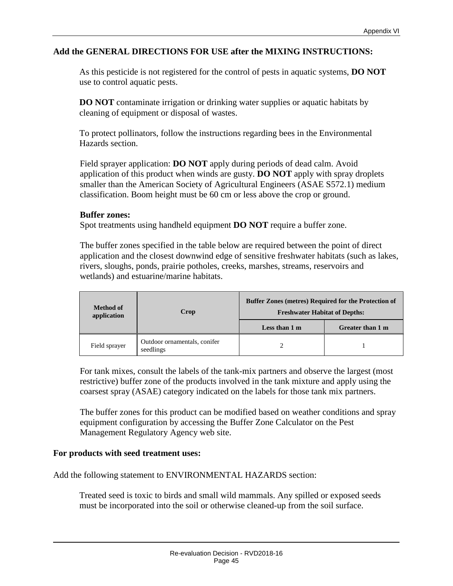#### **Add the GENERAL DIRECTIONS FOR USE after the MIXING INSTRUCTIONS:**

As this pesticide is not registered for the control of pests in aquatic systems, **DO NOT** use to control aquatic pests.

**DO NOT** contaminate irrigation or drinking water supplies or aquatic habitats by cleaning of equipment or disposal of wastes.

To protect pollinators, follow the instructions regarding bees in the Environmental Hazards section.

Field sprayer application: **DO NOT** apply during periods of dead calm. Avoid application of this product when winds are gusty. **DO NOT** apply with spray droplets smaller than the American Society of Agricultural Engineers (ASAE S572.1) medium classification. Boom height must be 60 cm or less above the crop or ground.

#### **Buffer zones:**

Spot treatments using handheld equipment **DO NOT** require a buffer zone.

The buffer zones specified in the table below are required between the point of direct application and the closest downwind edge of sensitive freshwater habitats (such as lakes, rivers, sloughs, ponds, prairie potholes, creeks, marshes, streams, reservoirs and wetlands) and estuarine/marine habitats.

| <b>Method of</b><br>application | Crop                                      | <b>Buffer Zones (metres) Required for the Protection of</b><br><b>Freshwater Habitat of Depths:</b> |                  |
|---------------------------------|-------------------------------------------|-----------------------------------------------------------------------------------------------------|------------------|
|                                 |                                           | Less than 1 m                                                                                       | Greater than 1 m |
| Field sprayer                   | Outdoor ornamentals, conifer<br>seedlings |                                                                                                     |                  |

For tank mixes, consult the labels of the tank-mix partners and observe the largest (most restrictive) buffer zone of the products involved in the tank mixture and apply using the coarsest spray (ASAE) category indicated on the labels for those tank mix partners.

The buffer zones for this product can be modified based on weather conditions and spray equipment configuration by accessing the Buffer Zone Calculator on the Pest Management Regulatory Agency web site.

#### **For products with seed treatment uses:**

Add the following statement to ENVIRONMENTAL HAZARDS section:

Treated seed is toxic to birds and small wild mammals. Any spilled or exposed seeds must be incorporated into the soil or otherwise cleaned-up from the soil surface.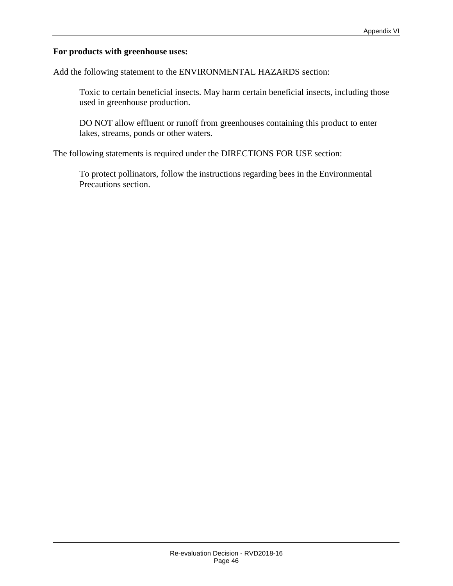#### **For products with greenhouse uses:**

Add the following statement to the ENVIRONMENTAL HAZARDS section:

Toxic to certain beneficial insects. May harm certain beneficial insects, including those used in greenhouse production.

DO NOT allow effluent or runoff from greenhouses containing this product to enter lakes, streams, ponds or other waters.

The following statements is required under the DIRECTIONS FOR USE section:

To protect pollinators, follow the instructions regarding bees in the Environmental Precautions section.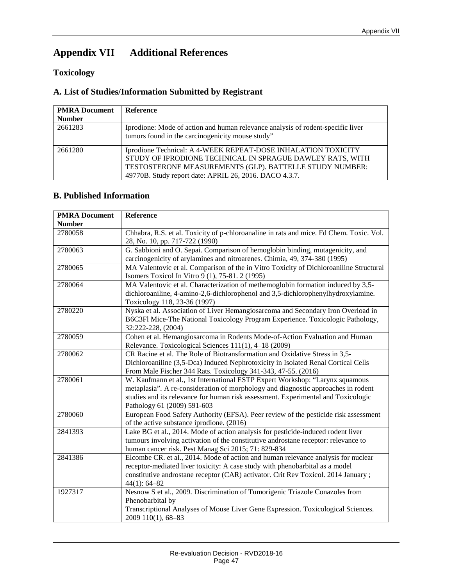# <span id="page-50-0"></span>**Appendix VII Additional References**

#### **Toxicology**

#### **A. List of Studies/Information Submitted by Registrant**

| <b>PMRA Document</b> | Reference                                                                                                                                                                                                                                       |
|----------------------|-------------------------------------------------------------------------------------------------------------------------------------------------------------------------------------------------------------------------------------------------|
| <b>Number</b>        |                                                                                                                                                                                                                                                 |
| 2661283              | Iprodione: Mode of action and human relevance analysis of rodent-specific liver<br>tumors found in the carcinogenicity mouse study"                                                                                                             |
| 2661280              | Iprodione Technical: A 4-WEEK REPEAT-DOSE INHALATION TOXICITY<br>STUDY OF IPRODIONE TECHNICAL IN SPRAGUE DAWLEY RATS, WITH<br>TESTOSTERONE MEASUREMENTS (GLP). BATTELLE STUDY NUMBER:<br>49770B. Study report date: APRIL 26, 2016. DACO 4.3.7. |

#### **B. Published Information**

| <b>PMRA Document</b> | Reference                                                                                                                                                  |
|----------------------|------------------------------------------------------------------------------------------------------------------------------------------------------------|
| <b>Number</b>        |                                                                                                                                                            |
| 2780058              | Chhabra, R.S. et al. Toxicity of p-chloroanaline in rats and mice. Fd Chem. Toxic. Vol.                                                                    |
|                      | 28, No. 10, pp. 717-722 (1990)                                                                                                                             |
| 2780063              | G. Sabbioni and O. Sepai. Comparison of hemoglobin binding, mutagenicity, and<br>carcinogenicity of arylamines and nitroarenes. Chimia, 49, 374-380 (1995) |
| 2780065              | MA Valentovic et al. Comparison of the in Vitro Toxicity of Dichloroaniline Structural<br>Isomers Toxicol In Vitro 9 (1), 75-81. 2 (1995)                  |
| 2780064              | MA Valentovic et al. Characterization of methemoglobin formation induced by 3,5-                                                                           |
|                      | dichloroaniline, 4-amino-2,6-dichlorophenol and 3,5-dichlorophenylhydroxylamine.                                                                           |
|                      | Toxicology 118, 23-36 (1997)                                                                                                                               |
| 2780220              | Nyska et al. Association of Liver Hemangiosarcoma and Secondary Iron Overload in                                                                           |
|                      | B6C3Fl Mice-The National Toxicology Program Experience. Toxicologic Pathology,                                                                             |
|                      | 32:222-228, (2004)                                                                                                                                         |
| 2780059              | Cohen et al. Hemangiosarcoma in Rodents Mode-of-Action Evaluation and Human                                                                                |
|                      | Relevance. Toxicological Sciences 111(1), 4-18 (2009)                                                                                                      |
| 2780062              | CR Racine et al. The Role of Biotransformation and Oxidative Stress in 3,5-                                                                                |
|                      | Dichloroaniline (3,5-Dca) Induced Nephrotoxicity in Isolated Renal Cortical Cells                                                                          |
|                      | From Male Fischer 344 Rats. Toxicology 341-343, 47-55. (2016)                                                                                              |
| 2780061              | W. Kaufmann et al., 1st International ESTP Expert Workshop: "Larynx squamous                                                                               |
|                      | metaplasia". A re-consideration of morphology and diagnostic approaches in rodent                                                                          |
|                      | studies and its relevance for human risk assessment. Experimental and Toxicologic<br>Pathology 61 (2009) 591-603                                           |
| 2780060              | European Food Safety Authority (EFSA). Peer review of the pesticide risk assessment                                                                        |
|                      | of the active substance iprodione. (2016)                                                                                                                  |
| 2841393              | Lake BG et al., 2014. Mode of action analysis for pesticide-induced rodent liver                                                                           |
|                      | tumours involving activation of the constitutive androstane receptor: relevance to                                                                         |
|                      | human cancer risk. Pest Manag Sci 2015; 71: 829-834                                                                                                        |
| 2841386              | Elcombe CR. et al., 2014. Mode of action and human relevance analysis for nuclear                                                                          |
|                      | receptor-mediated liver toxicity: A case study with phenobarbital as a model                                                                               |
|                      | constitutive androstane receptor (CAR) activator. Crit Rev Toxicol. 2014 January;                                                                          |
|                      | $44(1): 64 - 82$                                                                                                                                           |
| 1927317              | Nesnow S et al., 2009. Discrimination of Tumorigenic Triazole Conazoles from                                                                               |
|                      | Phenobarbital by                                                                                                                                           |
|                      | Transcriptional Analyses of Mouse Liver Gene Expression. Toxicological Sciences.                                                                           |
|                      | 2009 110(1), 68-83                                                                                                                                         |